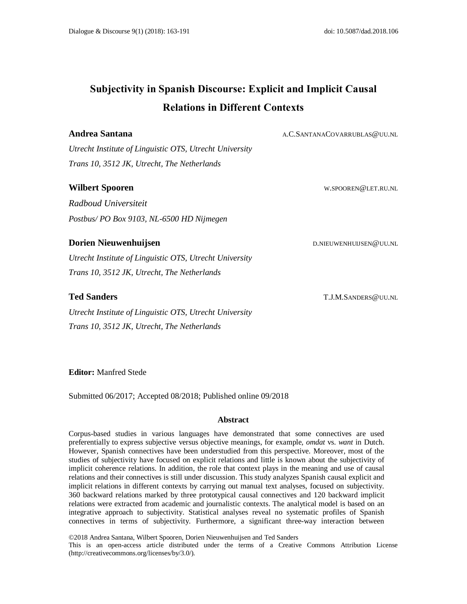# **Subjectivity in Spanish Discourse: Explicit and Implicit Causal Relations in Different Contexts**

**Andrea Santana** A.C.SANTANACOVARRUBLAS@UU.NL

*Utrecht Institute of Linguistic OTS, Utrecht University Trans 10, 3512 JK, Utrecht, The Netherlands*

# Wilbert Spooren W.SPOOREN@LET.RU.NL

*Radboud Universiteit Postbus/ PO Box 9103, NL-6500 HD Nijmegen*

# **Dorien Nieuwenhuijsen** Martin Roman D.NIEUWENHUIJSEN@UU.NL

*Utrecht Institute of Linguistic OTS, Utrecht University Trans 10, 3512 JK, Utrecht, The Netherlands*

# **Ted Sanders** T.J.M.SANDERS@UU.NL

*Utrecht Institute of Linguistic OTS, Utrecht University Trans 10, 3512 JK, Utrecht, The Netherlands*

**Editor:** Manfred Stede

Submitted 06/2017; Accepted 08/2018; Published online 09/2018

#### **Abstract**

Corpus-based studies in various languages have demonstrated that some connectives are used preferentially to express subjective versus objective meanings, for example, *omdat* vs. *want* in Dutch. However, Spanish connectives have been understudied from this perspective. Moreover, most of the studies of subjectivity have focused on explicit relations and little is known about the subjectivity of implicit coherence relations. In addition, the role that context plays in the meaning and use of causal relations and their connectives is still under discussion. This study analyzes Spanish causal explicit and implicit relations in different contexts by carrying out manual text analyses, focused on subjectivity. 360 backward relations marked by three prototypical causal connectives and 120 backward implicit relations were extracted from academic and journalistic contexts. The analytical model is based on an integrative approach to subjectivity. Statistical analyses reveal no systematic profiles of Spanish connectives in terms of subjectivity. Furthermore, a significant three-way interaction between

©2018 Andrea Santana, Wilbert Spooren, Dorien Nieuwenhuijsen and Ted Sanders

This is an open-access article distributed under the terms of a Creative Commons Attribution License (http://creativecommons.org/licenses/by/3.0/).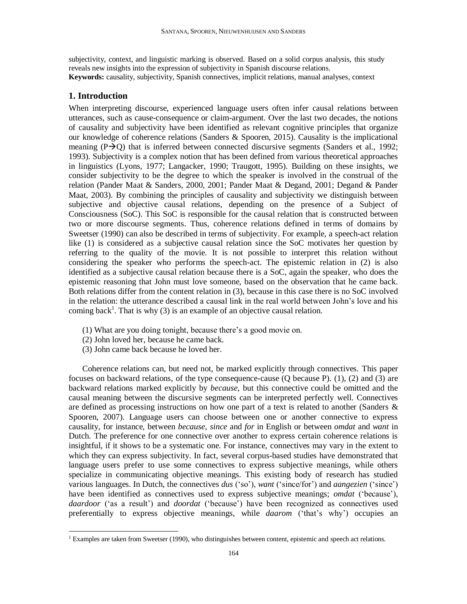subjectivity, context, and linguistic marking is observed. Based on a solid corpus analysis, this study reveals new insights into the expression of subjectivity in Spanish discourse relations. **Keywords:** causality, subjectivity, Spanish connectives, implicit relations, manual analyses, context

# **1. Introduction**

l

When interpreting discourse, experienced language users often infer causal relations between utterances, such as cause-consequence or claim-argument. Over the last two decades, the notions of causality and subjectivity have been identified as relevant cognitive principles that organize our knowledge of coherence relations (Sanders & Spooren, 2015). Causality is the implicational meaning  $(P\rightarrow Q)$  that is inferred between connected discursive segments (Sanders et al., 1992; 1993). Subjectivity is a complex notion that has been defined from various theoretical approaches in linguistics (Lyons, 1977; Langacker, 1990; Traugott, 1995). Building on these insights, we consider subjectivity to be the degree to which the speaker is involved in the construal of the relation (Pander Maat & Sanders, 2000, 2001; Pander Maat & Degand, 2001; Degand & Pander Maat, 2003). By combining the principles of causality and subjectivity we distinguish between subjective and objective causal relations, depending on the presence of a Subject of Consciousness (SoC). This SoC is responsible for the causal relation that is constructed between two or more discourse segments. Thus, coherence relations defined in terms of domains by Sweetser (1990) can also be described in terms of subjectivity. For example, a speech-act relation like (1) is considered as a subjective causal relation since the SoC motivates her question by referring to the quality of the movie. It is not possible to interpret this relation without considering the speaker who performs the speech-act. The epistemic relation in (2) is also identified as a subjective causal relation because there is a SoC, again the speaker, who does the epistemic reasoning that John must love someone, based on the observation that he came back. Both relations differ from the content relation in (3), because in this case there is no SoC involved in the relation: the utterance described a causal link in the real world between John's love and his coming back<sup>1</sup>. That is why (3) is an example of an objective causal relation.

- (1) What are you doing tonight, because there's a good movie on.
- (2) John loved her, because he came back.
- (3) John came back because he loved her.

Coherence relations can, but need not, be marked explicitly through connectives. This paper focuses on backward relations, of the type consequence-cause (Q because P). (1), (2) and (3) are backward relations marked explicitly by *because*, but this connective could be omitted and the causal meaning between the discursive segments can be interpreted perfectly well. Connectives are defined as processing instructions on how one part of a text is related to another (Sanders & Spooren, 2007). Language users can choose between one or another connective to express causality, for instance, between *because*, *since* and *for* in English or between *omdat* and *want* in Dutch. The preference for one connective over another to express certain coherence relations is insightful, if it shows to be a systematic one. For instance, connectives may vary in the extent to which they can express subjectivity. In fact, several corpus-based studies have demonstrated that language users prefer to use some connectives to express subjective meanings, while others specialize in communicating objective meanings. This existing body of research has studied various languages. In Dutch, the connectives *dus* ('so'), *want* ('since/for') and *aangezien* ('since') have been identified as connectives used to express subjective meanings; *omdat* ('because'), *daardoor* ('as a result') and *doordat* ('because') have been recognized as connectives used preferentially to express objective meanings, while *daarom* ('that's why') occupies an

 $<sup>1</sup>$  Examples are taken from Sweetser (1990), who distinguishes between content, epistemic and speech act relations.</sup>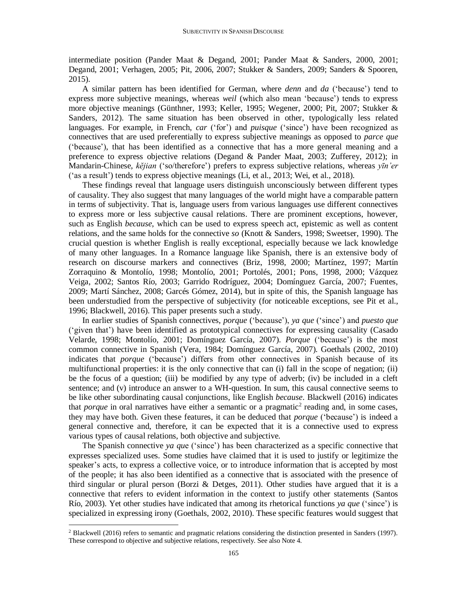intermediate position (Pander Maat & Degand, 2001; Pander Maat & Sanders, 2000, 2001; Degand, 2001; Verhagen, 2005; Pit, 2006, 2007; Stukker & Sanders, 2009; Sanders & Spooren, 2015).

A similar pattern has been identified for German, where *denn* and *da* ('because') tend to express more subjective meanings, whereas *weil* (which also mean 'because') tends to express more objective meanings (Günthner, 1993; Keller, 1995; Wegener, 2000; Pit, 2007; Stukker & Sanders, 2012). The same situation has been observed in other, typologically less related languages. For example, in French, *car* ('for') and *puisque* ('since') have been recognized as connectives that are used preferentially to express subjective meanings as opposed to *parce que* ('because'), that has been identified as a connective that has a more general meaning and a preference to express objective relations (Degand & Pander Maat, 2003; Zufferey, 2012); in Mandarin-Chinese, *kĕjian* ('so/therefore') prefers to express subjective relations, whereas *yīn'er* ('as a result') tends to express objective meanings (Li, et al., 2013; Wei, et al., 2018).

These findings reveal that language users distinguish unconsciously between different types of causality. They also suggest that many languages of the world might have a comparable pattern in terms of subjectivity. That is, language users from various languages use different connectives to express more or less subjective causal relations. There are prominent exceptions, however, such as English *because*, which can be used to express speech act, epistemic as well as content relations, and the same holds for the connective *so* (Knott & Sanders, 1998; Sweetser, 1990). The crucial question is whether English is really exceptional, especially because we lack knowledge of many other languages. In a Romance language like Spanish, there is an extensive body of research on discourse markers and connectives (Briz, 1998, 2000; Martínez, 1997; Martín Zorraquino & Montolío, 1998; Montolío, 2001; Portolés, 2001; Pons, 1998, 2000; Vázquez Veiga, 2002; Santos Río, 2003; Garrido Rodríguez, 2004; Domínguez García, 2007; Fuentes, 2009; Martí Sánchez, 2008; Garcés Gómez, 2014), but in spite of this, the Spanish language has been understudied from the perspective of subjectivity (for noticeable exceptions, see Pit et al., 1996; Blackwell, 2016). This paper presents such a study.

In earlier studies of Spanish connectives, *porque* ('because'), *ya que* ('since') and *puesto que* ('given that') have been identified as prototypical connectives for expressing causality (Casado Velarde, 1998; Montolío, 2001; Domínguez García, 2007). *Porque* ('because') is the most common connective in Spanish (Vera, 1984; Domínguez García, 2007). Goethals (2002, 2010) indicates that *porque* ('because') differs from other connectives in Spanish because of its multifunctional properties: it is the only connective that can (i) fall in the scope of negation; (ii) be the focus of a question; (iii) be modified by any type of adverb; (iv) be included in a cleft sentence; and (v) introduce an answer to a WH-question. In sum, this causal connective seems to be like other subordinating causal conjunctions, like English *because*. Blackwell (2016) indicates that *porque* in oral narratives have either a semantic or a pragmatic<sup>2</sup> reading and, in some cases, they may have both. Given these features, it can be deduced that *porque* ('because') is indeed a general connective and, therefore, it can be expected that it is a connective used to express various types of causal relations, both objective and subjective.

The Spanish connective *ya qu*e ('since') has been characterized as a specific connective that expresses specialized uses. Some studies have claimed that it is used to justify or legitimize the speaker's acts, to express a collective voice, or to introduce information that is accepted by most of the people; it has also been identified as a connective that is associated with the presence of third singular or plural person (Borzi & Detges, 2011). Other studies have argued that it is a connective that refers to evident information in the context to justify other statements (Santos Río, 2003). Yet other studies have indicated that among its rhetorical functions *ya que* ('since') is specialized in expressing irony (Goethals, 2002, 2010). These specific features would suggest that

 $\overline{a}$ 

<sup>&</sup>lt;sup>2</sup> Blackwell (2016) refers to semantic and pragmatic relations considering the distinction presented in Sanders (1997). These correspond to objective and subjective relations, respectively. See also Note 4.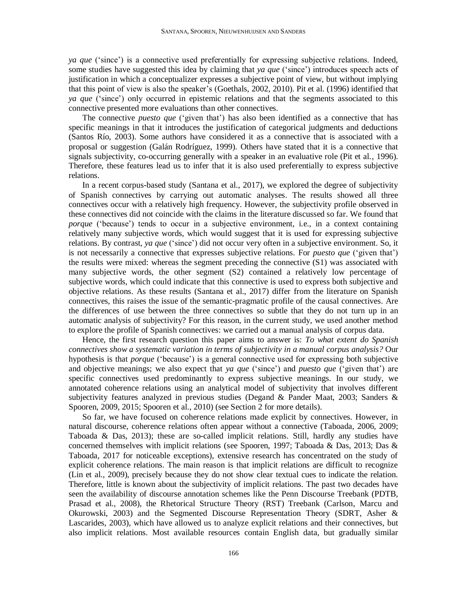*ya que* ('since') is a connective used preferentially for expressing subjective relations. Indeed, some studies have suggested this idea by claiming that *ya que* ('since') introduces speech acts of justification in which a conceptualizer expresses a subjective point of view, but without implying that this point of view is also the speaker's (Goethals, 2002, 2010). Pit et al. (1996) identified that *ya que* ('since') only occurred in epistemic relations and that the segments associated to this connective presented more evaluations than other connectives.

The connective *puesto que* ('given that') has also been identified as a connective that has specific meanings in that it introduces the justification of categorical judgments and deductions (Santos Río, 2003). Some authors have considered it as a connective that is associated with a proposal or suggestion (Galán Rodríguez, 1999). Others have stated that it is a connective that signals subjectivity, co-occurring generally with a speaker in an evaluative role (Pit et al., 1996). Therefore, these features lead us to infer that it is also used preferentially to express subjective relations.

In a recent corpus-based study (Santana et al., 2017), we explored the degree of subjectivity of Spanish connectives by carrying out automatic analyses. The results showed all three connectives occur with a relatively high frequency. However, the subjectivity profile observed in these connectives did not coincide with the claims in the literature discussed so far. We found that *porque* ('because') tends to occur in a subjective environment, i.e., in a context containing relatively many subjective words, which would suggest that it is used for expressing subjective relations. By contrast, *ya que* ('since') did not occur very often in a subjective environment. So, it is not necessarily a connective that expresses subjective relations. For *puesto que* ('given that') the results were mixed: whereas the segment preceding the connective (S1) was associated with many subjective words, the other segment (S2) contained a relatively low percentage of subjective words, which could indicate that this connective is used to express both subjective and objective relations. As these results (Santana et al., 2017) differ from the literature on Spanish connectives, this raises the issue of the semantic-pragmatic profile of the causal connectives. Are the differences of use between the three connectives so subtle that they do not turn up in an automatic analysis of subjectivity? For this reason, in the current study, we used another method to explore the profile of Spanish connectives: we carried out a manual analysis of corpus data.

Hence, the first research question this paper aims to answer is: *To what extent do Spanish connectives show a systematic variation in terms of subjectivity in a manual corpus analysis?* Our hypothesis is that *porque* ('because') is a general connective used for expressing both subjective and objective meanings; we also expect that *ya que* ('since') and *puesto que* ('given that') are specific connectives used predominantly to express subjective meanings. In our study, we annotated coherence relations using an analytical model of subjectivity that involves different subjectivity features analyzed in previous studies (Degand & Pander Maat, 2003; Sanders & Spooren, 2009, 2015; Spooren et al., 2010) (see Section 2 for more details).

So far, we have focused on coherence relations made explicit by connectives. However, in natural discourse, coherence relations often appear without a connective (Taboada, 2006, 2009; Taboada & Das, 2013); these are so-called implicit relations. Still, hardly any studies have concerned themselves with implicit relations (see Spooren, 1997; Taboada & Das, 2013; Das & Taboada, 2017 for noticeable exceptions), extensive research has concentrated on the study of explicit coherence relations. The main reason is that implicit relations are difficult to recognize (Lin et al., 2009), precisely because they do not show clear textual cues to indicate the relation. Therefore, little is known about the subjectivity of implicit relations. The past two decades have seen the availability of discourse annotation schemes like the Penn Discourse Treebank (PDTB, Prasad et al., 2008), the Rhetorical Structure Theory (RST) Treebank (Carlson, Marcu and Okurowski, 2003) and the Segmented Discourse Representation Theory (SDRT, Asher & Lascarides, 2003), which have allowed us to analyze explicit relations and their connectives, but also implicit relations. Most available resources contain English data, but gradually similar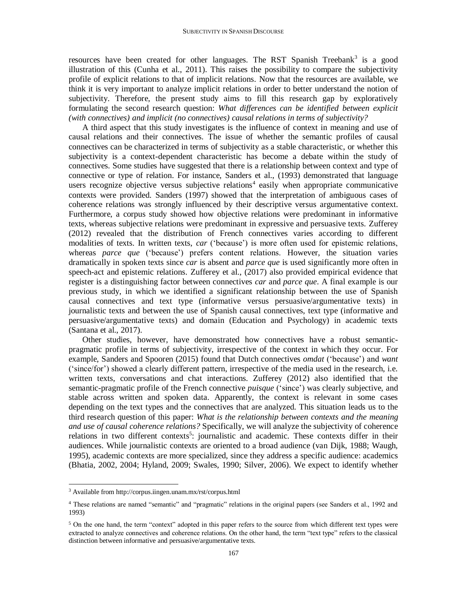resources have been created for other languages. The RST Spanish Treebank<sup>3</sup> is a good illustration of this (Cunha et al., 2011). This raises the possibility to compare the subjectivity profile of explicit relations to that of implicit relations. Now that the resources are available, we think it is very important to analyze implicit relations in order to better understand the notion of subjectivity. Therefore, the present study aims to fill this research gap by exploratively formulating the second research question: *What differences can be identified between explicit (with connectives) and implicit (no connectives) causal relations in terms of subjectivity?*

A third aspect that this study investigates is the influence of context in meaning and use of causal relations and their connectives. The issue of whether the semantic profiles of causal connectives can be characterized in terms of subjectivity as a stable characteristic, or whether this subjectivity is a context-dependent characteristic has become a debate within the study of connectives. Some studies have suggested that there is a relationship between context and type of connective or type of relation. For instance, Sanders et al., (1993) demonstrated that language users recognize objective versus subjective relations<sup>4</sup> easily when appropriate communicative contexts were provided. Sanders (1997) showed that the interpretation of ambiguous cases of coherence relations was strongly influenced by their descriptive versus argumentative context. Furthermore, a corpus study showed how objective relations were predominant in informative texts, whereas subjective relations were predominant in expressive and persuasive texts. Zufferey (2012) revealed that the distribution of French connectives varies according to different modalities of texts. In written texts, *car* ('because') is more often used for epistemic relations, whereas *parce que* ('because') prefers content relations. However, the situation varies dramatically in spoken texts since *car* is absent and *parce que* is used significantly more often in speech-act and epistemic relations. Zufferey et al., (2017) also provided empirical evidence that register is a distinguishing factor between connectives *car* and *parce que*. A final example is our previous study, in which we identified a significant relationship between the use of Spanish causal connectives and text type (informative versus persuasive/argumentative texts) in journalistic texts and between the use of Spanish causal connectives, text type (informative and persuasive/argumentative texts) and domain (Education and Psychology) in academic texts (Santana et al., 2017).

Other studies, however, have demonstrated how connectives have a robust semanticpragmatic profile in terms of subjectivity, irrespective of the context in which they occur. For example, Sanders and Spooren (2015) found that Dutch connectives *omdat* ('because') and *want* ('since/for') showed a clearly different pattern, irrespective of the media used in the research, i.e. written texts, conversations and chat interactions. Zufferey (2012) also identified that the semantic-pragmatic profile of the French connective *puisque* ('since') was clearly subjective, and stable across written and spoken data. Apparently, the context is relevant in some cases depending on the text types and the connectives that are analyzed. This situation leads us to the third research question of this paper: *What is the relationship between contexts and the meaning and use of causal coherence relations?* Specifically, we will analyze the subjectivity of coherence relations in two different contexts<sup>5</sup>: journalistic and academic. These contexts differ in their audiences. While journalistic contexts are oriented to a broad audience (van Dijk, 1988; Waugh, 1995), academic contexts are more specialized, since they address a specific audience: academics (Bhatia, 2002, 2004; Hyland, 2009; Swales, 1990; Silver, 2006). We expect to identify whether

l

<sup>3</sup> Available from http://corpus.iingen.unam.mx/rst/corpus.html

<sup>4</sup> These relations are named "semantic" and "pragmatic" relations in the original papers (see Sanders et al., 1992 and 1993)

<sup>&</sup>lt;sup>5</sup> On the one hand, the term "context" adopted in this paper refers to the source from which different text types were extracted to analyze connectives and coherence relations. On the other hand, the term "text type" refers to the classical distinction between informative and persuasive/argumentative texts.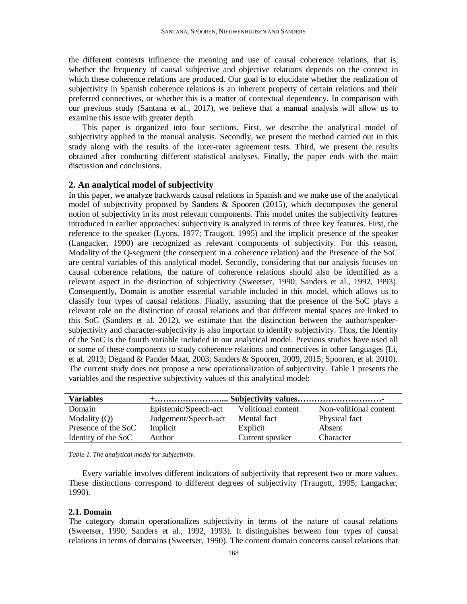the different contexts influence the meaning and use of causal coherence relations, that is, whether the frequency of causal subjective and objective relations depends on the context in which these coherence relations are produced. Our goal is to elucidate whether the realization of subjectivity in Spanish coherence relations is an inherent property of certain relations and their preferred connectives, or whether this is a matter of contextual dependency. In comparison with our previous study (Santana et al., 2017), we believe that a manual analysis will allow us to examine this issue with greater depth.

This paper is organized into four sections. First, we describe the analytical model of subjectivity applied in the manual analysis. Secondly, we present the method carried out in this study along with the results of the inter-rater agreement tests. Third, we present the results obtained after conducting different statistical analyses. Finally, the paper ends with the main discussion and conclusions.

# **2. An analytical model of subjectivity**

In this paper, we analyze backwards causal relations in Spanish and we make use of the analytical model of subjectivity proposed by Sanders & Spooren (2015), which decomposes the general notion of subjectivity in its most relevant components. This model unites the subjectivity features introduced in earlier approaches: subjectivity is analyzed in terms of three key features. First, the reference to the speaker (Lyons, 1977; Traugott, 1995) and the implicit presence of the speaker (Langacker, 1990) are recognized as relevant components of subjectivity. For this reason, Modality of the Q-segment (the consequent in a coherence relation) and the Presence of the SoC are central variables of this analytical model. Secondly, considering that our analysis focuses on causal coherence relations, the nature of coherence relations should also be identified as a relevant aspect in the distinction of subjectivity (Sweetser, 1990; Sanders et al., 1992, 1993). Consequently, Domain is another essential variable included in this model, which allows us to classify four types of causal relations. Finally, assuming that the presence of the SoC plays a relevant role on the distinction of causal relations and that different mental spaces are linked to this SoC (Sanders et al. 2012), we estimate that the distinction between the author/speakersubjectivity and character-subjectivity is also important to identify subjectivity. Thus, the Identity of the SoC is the fourth variable included in our analytical model. Previous studies have used all or some of these components to study coherence relations and connectives in other languages (Li, et al. 2013; Degand & Pander Maat, 2003; Sanders & Spooren, 2009, 2015; Spooren, et al. 2010). The current study does not propose a new operationalization of subjectivity. Table 1 presents the variables and the respective subjectivity values of this analytical model:

| <b>Variables</b>    |                      |                    |                        |  |
|---------------------|----------------------|--------------------|------------------------|--|
| Domain              | Epistemic/Speech-act | Volitional content | Non-volitional content |  |
| Modality $(Q)$      | Judgement/Speech-act | Mental fact        | Physical fact          |  |
| Presence of the SoC | Implicit             | Explicit           | Absent                 |  |
| Identity of the SoC | Author               | Current speaker    | Character              |  |

*Table 1. The analytical model for subjectivity.*

Every variable involves different indicators of subjectivity that represent two or more values. These distinctions correspond to different degrees of subjectivity (Traugott, 1995; Langacker, 1990).

#### **2.1. Domain**

The category domain operationalizes subjectivity in terms of the nature of causal relations (Sweetser, 1990; Sanders et al., 1992, 1993). It distinguishes between four types of causal relations in terms of domains (Sweetser, 1990). The content domain concerns causal relations that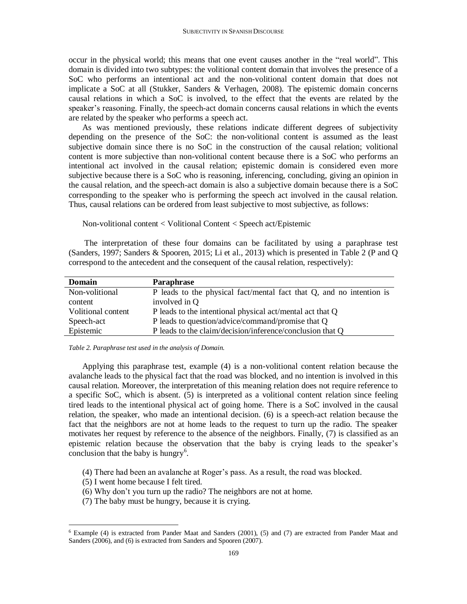occur in the physical world; this means that one event causes another in the "real world". This domain is divided into two subtypes: the volitional content domain that involves the presence of a SoC who performs an intentional act and the non-volitional content domain that does not implicate a SoC at all (Stukker, Sanders & Verhagen, 2008). The epistemic domain concerns causal relations in which a SoC is involved, to the effect that the events are related by the speaker's reasoning. Finally, the speech-act domain concerns causal relations in which the events are related by the speaker who performs a speech act.

As was mentioned previously, these relations indicate different degrees of subjectivity depending on the presence of the SoC: the non-volitional content is assumed as the least subjective domain since there is no SoC in the construction of the causal relation; volitional content is more subjective than non-volitional content because there is a SoC who performs an intentional act involved in the causal relation; epistemic domain is considered even more subjective because there is a SoC who is reasoning, inferencing, concluding, giving an opinion in the causal relation, and the speech-act domain is also a subjective domain because there is a SoC corresponding to the speaker who is performing the speech act involved in the causal relation. Thus, causal relations can be ordered from least subjective to most subjective, as follows:

Non-volitional content < Volitional Content < Speech act/Epistemic

The interpretation of these four domains can be facilitated by using a paraphrase test (Sanders, 1997; Sanders & Spooren, 2015; Li et al., 2013) which is presented in Table 2 (P and Q correspond to the antecedent and the consequent of the causal relation, respectively):

| <b>Domain</b>      | Paraphrase                                                           |
|--------------------|----------------------------------------------------------------------|
| Non-volitional     | P leads to the physical fact/mental fact that Q, and no intention is |
| content            | involved in Q                                                        |
| Volitional content | P leads to the intentional physical act/mental act that Q            |
| Speech-act         | P leads to question/advice/command/promise that Q                    |
| Epistemic          | P leads to the claim/decision/inference/conclusion that Q            |

*Table 2. Paraphrase test used in the analysis of Domain.*

Applying this paraphrase test, example (4) is a non-volitional content relation because the avalanche leads to the physical fact that the road was blocked, and no intention is involved in this causal relation. Moreover, the interpretation of this meaning relation does not require reference to a specific SoC, which is absent. (5) is interpreted as a volitional content relation since feeling tired leads to the intentional physical act of going home. There is a SoC involved in the causal relation, the speaker, who made an intentional decision. (6) is a speech-act relation because the fact that the neighbors are not at home leads to the request to turn up the radio. The speaker motivates her request by reference to the absence of the neighbors. Finally, (7) is classified as an epistemic relation because the observation that the baby is crying leads to the speaker's conclusion that the baby is hungry<sup>6</sup>.

- (4) There had been an avalanche at Roger's pass. As a result, the road was blocked.
- (5) I went home because I felt tired.

 $\overline{a}$ 

- (6) Why don't you turn up the radio? The neighbors are not at home.
- (7) The baby must be hungry, because it is crying.

<sup>6</sup> Example (4) is extracted from Pander Maat and Sanders (2001), (5) and (7) are extracted from Pander Maat and Sanders (2006), and (6) is extracted from Sanders and Spooren (2007).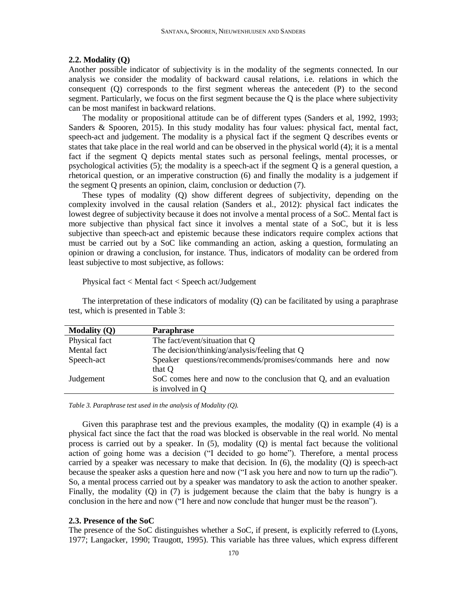#### **2.2. Modality (Q)**

Another possible indicator of subjectivity is in the modality of the segments connected. In our analysis we consider the modality of backward causal relations, i.e. relations in which the consequent (Q) corresponds to the first segment whereas the antecedent (P) to the second segment. Particularly, we focus on the first segment because the Q is the place where subjectivity can be most manifest in backward relations.

The modality or propositional attitude can be of different types (Sanders et al, 1992, 1993; Sanders & Spooren, 2015). In this study modality has four values: physical fact, mental fact, speech-act and judgement. The modality is a physical fact if the segment Q describes events or states that take place in the real world and can be observed in the physical world (4); it is a mental fact if the segment Q depicts mental states such as personal feelings, mental processes, or psychological activities (5); the modality is a speech-act if the segment Q is a general question, a rhetorical question, or an imperative construction (6) and finally the modality is a judgement if the segment Q presents an opinion, claim, conclusion or deduction (7).

These types of modality (Q) show different degrees of subjectivity, depending on the complexity involved in the causal relation (Sanders et al., 2012): physical fact indicates the lowest degree of subjectivity because it does not involve a mental process of a SoC. Mental fact is more subjective than physical fact since it involves a mental state of a SoC, but it is less subjective than speech-act and epistemic because these indicators require complex actions that must be carried out by a SoC like commanding an action, asking a question, formulating an opinion or drawing a conclusion, for instance. Thus, indicators of modality can be ordered from least subjective to most subjective, as follows:

Physical fact < Mental fact < Speech act/Judgement

The interpretation of these indicators of modality (Q) can be facilitated by using a paraphrase test, which is presented in Table 3:

| <b>Modality (Q)</b> | Paraphrase                                                                             |
|---------------------|----------------------------------------------------------------------------------------|
| Physical fact       | The fact/event/situation that Q                                                        |
| Mental fact         | The decision/thinking/analysis/feeling that Q                                          |
| Speech-act          | Speaker questions/recommends/promises/commands here and now<br>that Q                  |
| Judgement           | SoC comes here and now to the conclusion that Q, and an evaluation<br>is involved in Q |

*Table 3. Paraphrase test used in the analysis of Modality (Q).* 

Given this paraphrase test and the previous examples, the modality (Q) in example (4) is a physical fact since the fact that the road was blocked is observable in the real world. No mental process is carried out by a speaker. In (5), modality (Q) is mental fact because the volitional action of going home was a decision ("I decided to go home"). Therefore, a mental process carried by a speaker was necessary to make that decision. In  $(6)$ , the modality  $(Q)$  is speech-act because the speaker asks a question here and now ("I ask you here and now to turn up the radio"). So, a mental process carried out by a speaker was mandatory to ask the action to another speaker. Finally, the modality (Q) in (7) is judgement because the claim that the baby is hungry is a conclusion in the here and now ("I here and now conclude that hunger must be the reason").

#### **2.3. Presence of the SoC**

The presence of the SoC distinguishes whether a SoC, if present, is explicitly referred to (Lyons, 1977; Langacker, 1990; Traugott, 1995). This variable has three values, which express different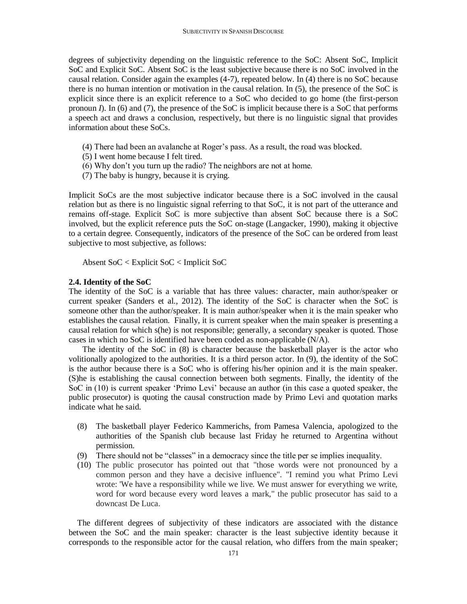degrees of subjectivity depending on the linguistic reference to the SoC: Absent SoC, Implicit SoC and Explicit SoC. Absent SoC is the least subjective because there is no SoC involved in the causal relation. Consider again the examples (4-7), repeated below. In (4) there is no SoC because there is no human intention or motivation in the causal relation. In (5), the presence of the SoC is explicit since there is an explicit reference to a SoC who decided to go home (the first-person pronoun *I*). In (6) and (7), the presence of the SoC is implicit because there is a SoC that performs a speech act and draws a conclusion, respectively, but there is no linguistic signal that provides information about these SoCs.

- (4) There had been an avalanche at Roger's pass. As a result, the road was blocked.
- (5) I went home because I felt tired.
- (6) Why don't you turn up the radio? The neighbors are not at home.
- (7) The baby is hungry, because it is crying.

Implicit SoCs are the most subjective indicator because there is a SoC involved in the causal relation but as there is no linguistic signal referring to that SoC, it is not part of the utterance and remains off-stage. Explicit SoC is more subjective than absent SoC because there is a SoC involved, but the explicit reference puts the SoC on-stage (Langacker, 1990), making it objective to a certain degree. Consequently, indicators of the presence of the SoC can be ordered from least subjective to most subjective, as follows:

Absent SoC < Explicit SoC < Implicit SoC

#### **2.4. Identity of the SoC**

The identity of the SoC is a variable that has three values: character, main author/speaker or current speaker (Sanders et al., 2012). The identity of the SoC is character when the SoC is someone other than the author/speaker. It is main author/speaker when it is the main speaker who establishes the causal relation. Finally, it is current speaker when the main speaker is presenting a causal relation for which s(he) is not responsible; generally, a secondary speaker is quoted. Those cases in which no SoC is identified have been coded as non-applicable (N/A).

The identity of the SoC in (8) is character because the basketball player is the actor who volitionally apologized to the authorities. It is a third person actor. In (9), the identity of the SoC is the author because there is a SoC who is offering his/her opinion and it is the main speaker. (S)he is establishing the causal connection between both segments. Finally, the identity of the SoC in (10) is current speaker 'Primo Levi' because an author (in this case a quoted speaker, the public prosecutor) is quoting the causal construction made by Primo Levi and quotation marks indicate what he said.

- (8) The basketball player Federico Kammerichs, from Pamesa Valencia, apologized to the authorities of the Spanish club because last Friday he returned to Argentina without permission.
- (9) There should not be "classes" in a democracy since the title per se implies inequality.
- (10) The public prosecutor has pointed out that "those words were not pronounced by a common person and they have a decisive influence". "I remind you what Primo Levi wrote: 'We have a responsibility while we live. We must answer for everything we write, word for word because every word leaves a mark," the public prosecutor has said to a downcast De Luca.

The different degrees of subjectivity of these indicators are associated with the distance between the SoC and the main speaker: character is the least subjective identity because it corresponds to the responsible actor for the causal relation, who differs from the main speaker;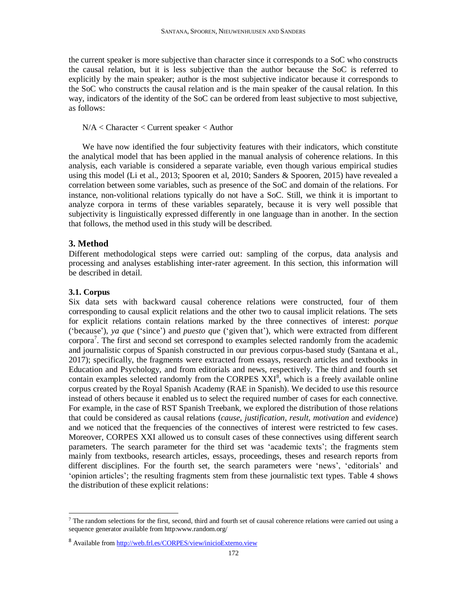the current speaker is more subjective than character since it corresponds to a SoC who constructs the causal relation, but it is less subjective than the author because the SoC is referred to explicitly by the main speaker; author is the most subjective indicator because it corresponds to the SoC who constructs the causal relation and is the main speaker of the causal relation. In this way, indicators of the identity of the SoC can be ordered from least subjective to most subjective, as follows:

#### N/A < Character < Current speaker < Author

We have now identified the four subjectivity features with their indicators, which constitute the analytical model that has been applied in the manual analysis of coherence relations. In this analysis, each variable is considered a separate variable, even though various empirical studies using this model (Li et al., 2013; Spooren et al, 2010; Sanders & Spooren, 2015) have revealed a correlation between some variables, such as presence of the SoC and domain of the relations. For instance, non-volitional relations typically do not have a SoC. Still, we think it is important to analyze corpora in terms of these variables separately, because it is very well possible that subjectivity is linguistically expressed differently in one language than in another. In the section that follows, the method used in this study will be described.

#### **3. Method**

Different methodological steps were carried out: sampling of the corpus, data analysis and processing and analyses establishing inter-rater agreement. In this section, this information will be described in detail.

#### **3.1. Corpus**

l

Six data sets with backward causal coherence relations were constructed, four of them corresponding to causal explicit relations and the other two to causal implicit relations. The sets for explicit relations contain relations marked by the three connectives of interest: *porque* ('because'), *ya que* ('since') and *puesto que* ('given that'), which were extracted from different corpora<sup>7</sup>. The first and second set correspond to examples selected randomly from the academic and journalistic corpus of Spanish constructed in our previous corpus-based study (Santana et al., 2017); specifically, the fragments were extracted from essays, research articles and textbooks in Education and Psychology, and from editorials and news, respectively. The third and fourth set contain examples selected randomly from the CORPES XXI<sup>8</sup>, which is a freely available online corpus created by the Royal Spanish Academy (RAE in Spanish). We decided to use this resource instead of others because it enabled us to select the required number of cases for each connective. For example, in the case of RST Spanish Treebank, we explored the distribution of those relations that could be considered as causal relations (*cause*, *justification*, *result*, *motivation* and *evidence*) and we noticed that the frequencies of the connectives of interest were restricted to few cases. Moreover, CORPES XXI allowed us to consult cases of these connectives using different search parameters. The search parameter for the third set was 'academic texts'; the fragments stem mainly from textbooks, research articles, essays, proceedings, theses and research reports from different disciplines. For the fourth set, the search parameters were 'news', 'editorials' and 'opinion articles'; the resulting fragments stem from these journalistic text types. Table 4 shows the distribution of these explicit relations:

<sup>&</sup>lt;sup>7</sup> The random selections for the first, second, third and fourth set of causal coherence relations were carried out using a sequence generator available from http:www.random.org/

<sup>8</sup> Available from <http://web.frl.es/CORPES/view/inicioExterno.view>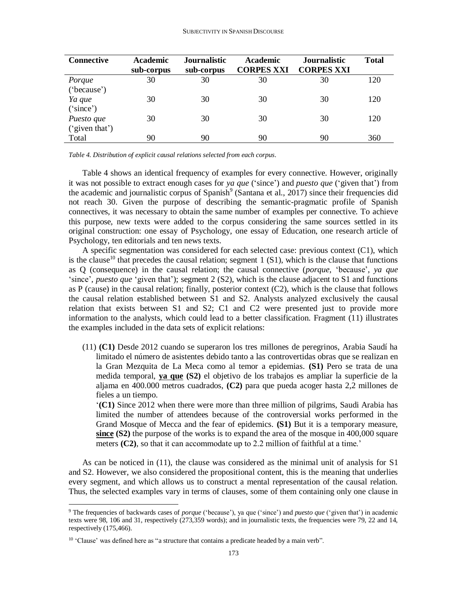| <b>Connective</b> | <b>Academic</b><br>sub-corpus | <b>Journalistic</b><br>sub-corpus | Academic<br><b>CORPES XXI</b> | <b>Journalistic</b><br><b>CORPES XXI</b> | <b>Total</b> |
|-------------------|-------------------------------|-----------------------------------|-------------------------------|------------------------------------------|--------------|
| Porque            | 30                            | 30                                | 30                            | 30                                       | 120          |
| ('because')       |                               |                                   |                               |                                          |              |
| Ya que            | 30                            | 30                                | 30                            | 30                                       | 120          |
| ("since")         |                               |                                   |                               |                                          |              |
| Puesto que        | 30                            | 30                                | 30                            | 30                                       | 120          |
| ('given that')    |                               |                                   |                               |                                          |              |
| Total             | 90                            | 90                                | 90                            | 90                                       | 360          |

*Table 4. Distribution of explicit causal relations selected from each corpus.*

Table 4 shows an identical frequency of examples for every connective. However, originally it was not possible to extract enough cases for *ya que* ('since') and *puesto que* ('given that') from the academic and journalistic corpus of Spanish<sup>9</sup> (Santana et al., 2017) since their frequencies did not reach 30. Given the purpose of describing the semantic-pragmatic profile of Spanish connectives, it was necessary to obtain the same number of examples per connective. To achieve this purpose, new texts were added to the corpus considering the same sources settled in its original construction: one essay of Psychology, one essay of Education, one research article of Psychology, ten editorials and ten news texts.

A specific segmentation was considered for each selected case: previous context (C1), which is the clause<sup>10</sup> that precedes the causal relation; segment 1 (S1), which is the clause that functions as Q (consequence) in the causal relation; the causal connective (*porque,* 'because', *ya que*  'since'*, puesto que* 'given that'); segment 2 (S2), which is the clause adjacent to S1 and functions as P (cause) in the causal relation; finally, posterior context (C2), which is the clause that follows the causal relation established between S1 and S2. Analysts analyzed exclusively the causal relation that exists between S1 and S2; C1 and C2 were presented just to provide more information to the analysts, which could lead to a better classification. Fragment (11) illustrates the examples included in the data sets of explicit relations:

(11) **(C1)** Desde 2012 cuando se superaron los tres millones de peregrinos, Arabia Saudí ha limitado el número de asistentes debido tanto a las controvertidas obras que se realizan en la Gran Mezquita de La Meca como al temor a epidemias. **(S1)** Pero se trata de una medida temporal, **ya que (S2)** el objetivo de los trabajos es ampliar la superficie de la aljama en 400.000 metros cuadrados, **(C2)** para que pueda acoger hasta 2,2 millones de fieles a un tiempo.

'**(C1)** Since 2012 when there were more than three million of pilgrims, Saudi Arabia has limited the number of attendees because of the controversial works performed in the Grand Mosque of Mecca and the fear of epidemics. **(S1)** But it is a temporary measure, **since (S2)** the purpose of the works is to expand the area of the mosque in 400,000 square meters **(C2)**, so that it can accommodate up to 2.2 million of faithful at a time.'

As can be noticed in (11), the clause was considered as the minimal unit of analysis for S1 and S2. However, we also considered the propositional content, this is the meaning that underlies every segment, and which allows us to construct a mental representation of the causal relation. Thus, the selected examples vary in terms of clauses, some of them containing only one clause in

l

<sup>9</sup> The frequencies of backwards cases of *porque* ('because'), ya que ('since') and *puesto que* ('given that') in academic texts were 98, 106 and 31, respectively (273,359 words); and in journalistic texts, the frequencies were 79, 22 and 14, respectively (175,466).

<sup>&</sup>lt;sup>10</sup> 'Clause' was defined here as "a structure that contains a predicate headed by a main verb".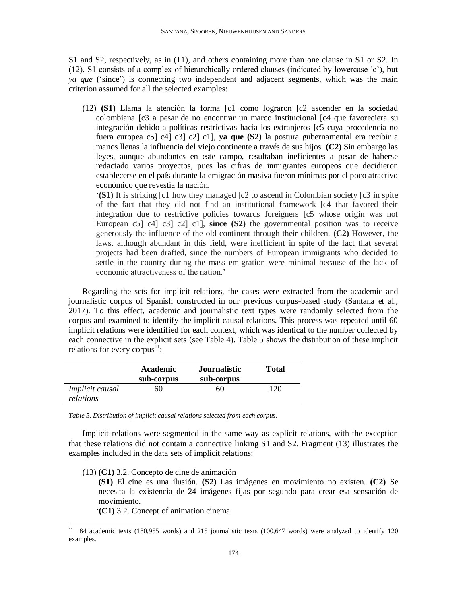S1 and S2, respectively, as in (11), and others containing more than one clause in S1 or S2. In (12), S1 consists of a complex of hierarchically ordered clauses (indicated by lowercase 'c'), but *ya que* ('since') is connecting two independent and adjacent segments, which was the main criterion assumed for all the selected examples:

(12) **(S1)** Llama la atención la forma [c1 como lograron [c2 ascender en la sociedad colombiana [c3 a pesar de no encontrar un marco institucional [c4 que favoreciera su integración debido a políticas restrictivas hacia los extranjeros [c5 cuya procedencia no fuera europea c5] c4] c3] c2] c1], **ya que (S2)** la postura gubernamental era recibir a manos llenas la influencia del viejo continente a través de sus hijos. **(C2)** Sin embargo las leyes, aunque abundantes en este campo, resultaban ineficientes a pesar de haberse redactado varios proyectos, pues las cifras de inmigrantes europeos que decidieron establecerse en el país durante la emigración masiva fueron mínimas por el poco atractivo económico que revestía la nación.

'**(S1)** It is striking [c1 how they managed [c2 to ascend in Colombian society [c3 in spite of the fact that they did not find an institutional framework [c4 that favored their integration due to restrictive policies towards foreigners [c5 whose origin was not European c5] c4] c3] c2] c1], **since (S2)** the governmental position was to receive generously the influence of the old continent through their children. **(C2)** However, the laws, although abundant in this field, were inefficient in spite of the fact that several projects had been drafted, since the numbers of European immigrants who decided to settle in the country during the mass emigration were minimal because of the lack of economic attractiveness of the nation.'

Regarding the sets for implicit relations, the cases were extracted from the academic and journalistic corpus of Spanish constructed in our previous corpus-based study (Santana et al., 2017). To this effect, academic and journalistic text types were randomly selected from the corpus and examined to identify the implicit causal relations. This process was repeated until 60 implicit relations were identified for each context, which was identical to the number collected by each connective in the explicit sets (see Table 4). Table 5 shows the distribution of these implicit relations for every corpus<sup>11</sup>:

|                                     | Academic<br>sub-corpus | Journalistic<br>sub-corpus | Total |
|-------------------------------------|------------------------|----------------------------|-------|
| <i>Implicit causal</i><br>relations | 60                     | 60                         | 120.  |

*Table 5. Distribution of implicit causal relations selected from each corpus.*

Implicit relations were segmented in the same way as explicit relations, with the exception that these relations did not contain a connective linking S1 and S2. Fragment (13) illustrates the examples included in the data sets of implicit relations:

(13) **(C1)** 3.2. Concepto de cine de animación

**(S1)** El cine es una ilusión. **(S2)** Las imágenes en movimiento no existen. **(C2)** Se necesita la existencia de 24 imágenes fijas por segundo para crear esa sensación de movimiento.

'**(C1)** 3.2. Concept of animation cinema

 $\overline{a}$ 

<sup>&</sup>lt;sup>11</sup> 84 academic texts (180,955 words) and 215 journalistic texts (100,647 words) were analyzed to identify 120 examples.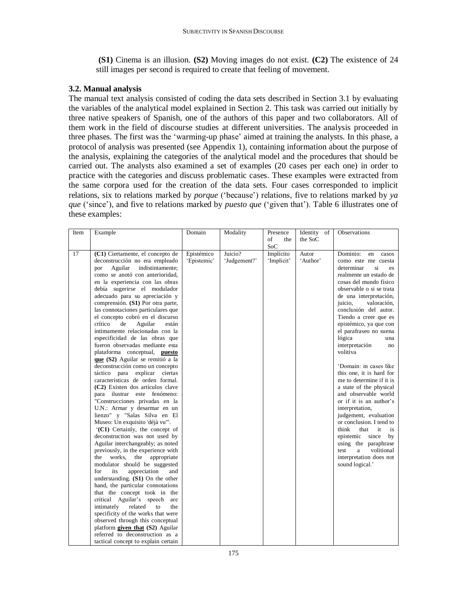**(S1)** Cinema is an illusion. **(S2)** Moving images do not exist. **(C2)** The existence of 24 still images per second is required to create that feeling of movement.

# **3.2. Manual analysis**

The manual text analysis consisted of coding the data sets described in Section 3.1 by evaluating the variables of the analytical model explained in Section 2. This task was carried out initially by three native speakers of Spanish, one of the authors of this paper and two collaborators. All of them work in the field of discourse studies at different universities. The analysis proceeded in three phases. The first was the 'warming-up phase' aimed at training the analysts. In this phase, a protocol of analysis was presented (see Appendix 1), containing information about the purpose of the analysis, explaining the categories of the analytical model and the procedures that should be carried out. The analysts also examined a set of examples (20 cases per each one) in order to practice with the categories and discuss problematic cases. These examples were extracted from the same corpora used for the creation of the data sets. Four cases corresponded to implicit relations, six to relations marked by *porque* ('because') relations, five to relations marked by *ya que* ('since'), and five to relations marked by *puesto que* ('given that'). Table 6 illustrates one of these examples:

| Item | Example                             | Domain      | Modality     | Presence   | Identity of | Observations              |
|------|-------------------------------------|-------------|--------------|------------|-------------|---------------------------|
|      |                                     |             |              | of<br>the  | the SoC     |                           |
|      |                                     |             |              | <b>SoC</b> |             |                           |
| 17   | (C1) Ciertamente, el concepto de    | Epistémico  | Juicio?      | Implícito  | Autor       | Dominio:<br>en<br>casos   |
|      | deconstrucción no era empleado      | 'Epistemic' | 'Judgement?' | 'Implicit' | 'Author'    | como este me cuesta       |
|      | Aguilar<br>indistintamente;<br>por  |             |              |            |             | determinar<br>si<br>es.   |
|      | como se anotó con anterioridad,     |             |              |            |             | realmente un estado de    |
|      | en la experiencia con las obras     |             |              |            |             | cosas del mundo físico    |
|      | debía sugerirse el modulador        |             |              |            |             | observable o si se trata  |
|      | adecuado para su apreciación y      |             |              |            |             | de una interpretación,    |
|      | comprensión. (S1) Por otra parte,   |             |              |            |             | juicio,<br>valoración,    |
|      | las connotaciones particulares que  |             |              |            |             | conclusión del autor.     |
|      | el concepto cobró en el discurso    |             |              |            |             | Tiendo a creer que es     |
|      | Aguilar<br>crítico<br>de<br>están   |             |              |            |             | epistémico, ya que con    |
|      | íntimamente relacionadas con la     |             |              |            |             | el parafraseo no suena    |
|      | especificidad de las obras que      |             |              |            |             | lógica<br>una             |
|      | fueron observadas mediante esta     |             |              |            |             | interpretación<br>no      |
|      | plataforma conceptual, puesto       |             |              |            |             | volitiva                  |
|      | que (S2) Aguilar se remitió a la    |             |              |            |             |                           |
|      | deconstrucción como un concepto     |             |              |            |             | 'Domain: in cases like    |
|      | táctico para explicar ciertas       |             |              |            |             | this one, it is hard for  |
|      | características de orden formal.    |             |              |            |             | me to determine if it is  |
|      | (C2) Existen dos artículos clave    |             |              |            |             | a state of the physical   |
|      | para ilustrar este fenómeno:        |             |              |            |             | and observable world      |
|      | "Construcciones privadas en la      |             |              |            |             | or if it is an author's   |
|      | U.N.: Armar y desarmar en un        |             |              |            |             | interpretation,           |
|      | lienzo" y "Salas Silva en El        |             |              |            |             | judgement, evaluation     |
|      | Museo: Un exquisito 'déjà vu'".     |             |              |            |             | or conclusion. I tend to  |
|      | '(C1) Certainly, the concept of     |             |              |            |             | think<br>that<br>it<br>is |
|      | deconstruction was not used by      |             |              |            |             | epistemic since<br>by     |
|      | Aguilar interchangeably; as noted   |             |              |            |             | using the paraphrase      |
|      | previously, in the experience with  |             |              |            |             | volitional<br>test<br>a   |
|      | works, the<br>appropriate<br>the    |             |              |            |             | interpretation does not   |
|      | modulator should be suggested       |             |              |            |             | sound logical.'           |
|      | for<br>its<br>appreciation<br>and   |             |              |            |             |                           |
|      | understanding. $(S1)$ On the other  |             |              |            |             |                           |
|      | hand, the particular connotations   |             |              |            |             |                           |
|      | that the concept took in the        |             |              |            |             |                           |
|      | critical Aguilar's speech are       |             |              |            |             |                           |
|      | intimately<br>related<br>to<br>the  |             |              |            |             |                           |
|      | specificity of the works that were  |             |              |            |             |                           |
|      | observed through this conceptual    |             |              |            |             |                           |
|      | platform given that (S2) Aguilar    |             |              |            |             |                           |
|      | referred to deconstruction as a     |             |              |            |             |                           |
|      | tactical concept to explain certain |             |              |            |             |                           |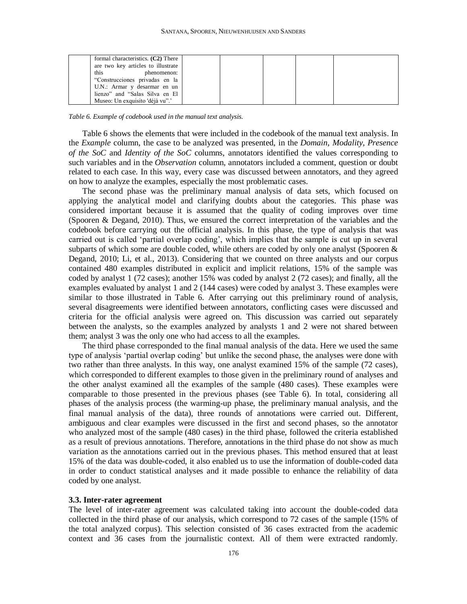| formal characteristics. (C2) There |  |  |  |
|------------------------------------|--|--|--|
| are two key articles to illustrate |  |  |  |
| this<br>phenomenon:                |  |  |  |
| "Construcciones privadas en la     |  |  |  |
| U.N.: Armar y desarmar en un       |  |  |  |
| lienzo" and "Salas Silva en El     |  |  |  |
| Museo: Un exquisito 'déjà vu".'    |  |  |  |

*Table 6. Example of codebook used in the manual text analysis.* 

Table 6 shows the elements that were included in the codebook of the manual text analysis. In the *Example* column*,* the case to be analyzed was presented, in the *Domain*, *Modality*, *Presence of the SoC* and *Identity of the SoC* columns, annotators identified the values corresponding to such variables and in the *Observation* column, annotators included a comment, question or doubt related to each case. In this way, every case was discussed between annotators, and they agreed on how to analyze the examples, especially the most problematic cases.

The second phase was the preliminary manual analysis of data sets, which focused on applying the analytical model and clarifying doubts about the categories. This phase was considered important because it is assumed that the quality of coding improves over time (Spooren & Degand, 2010). Thus, we ensured the correct interpretation of the variables and the codebook before carrying out the official analysis. In this phase, the type of analysis that was carried out is called 'partial overlap coding', which implies that the sample is cut up in several subparts of which some are double coded, while others are coded by only one analyst (Spooren & Degand, 2010; Li, et al., 2013). Considering that we counted on three analysts and our corpus contained 480 examples distributed in explicit and implicit relations, 15% of the sample was coded by analyst 1 (72 cases); another 15% was coded by analyst 2 (72 cases); and finally, all the examples evaluated by analyst 1 and 2 (144 cases) were coded by analyst 3. These examples were similar to those illustrated in Table 6. After carrying out this preliminary round of analysis, several disagreements were identified between annotators, conflicting cases were discussed and criteria for the official analysis were agreed on. This discussion was carried out separately between the analysts, so the examples analyzed by analysts 1 and 2 were not shared between them; analyst 3 was the only one who had access to all the examples.

The third phase corresponded to the final manual analysis of the data. Here we used the same type of analysis 'partial overlap coding' but unlike the second phase, the analyses were done with two rather than three analysts. In this way, one analyst examined 15% of the sample (72 cases), which corresponded to different examples to those given in the preliminary round of analyses and the other analyst examined all the examples of the sample (480 cases). These examples were comparable to those presented in the previous phases (see Table 6). In total, considering all phases of the analysis process (the warming-up phase, the preliminary manual analysis, and the final manual analysis of the data), three rounds of annotations were carried out. Different, ambiguous and clear examples were discussed in the first and second phases, so the annotator who analyzed most of the sample (480 cases) in the third phase, followed the criteria established as a result of previous annotations. Therefore, annotations in the third phase do not show as much variation as the annotations carried out in the previous phases. This method ensured that at least 15% of the data was double-coded, it also enabled us to use the information of double-coded data in order to conduct statistical analyses and it made possible to enhance the reliability of data coded by one analyst.

#### **3.3. Inter-rater agreement**

The level of inter-rater agreement was calculated taking into account the double-coded data collected in the third phase of our analysis, which correspond to 72 cases of the sample (15% of the total analyzed corpus). This selection consisted of 36 cases extracted from the academic context and 36 cases from the journalistic context. All of them were extracted randomly.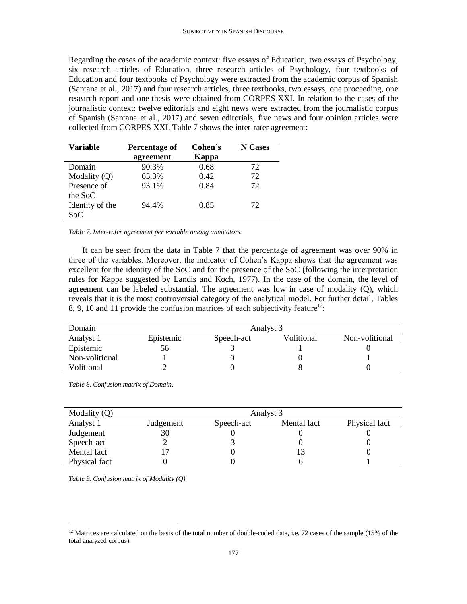Regarding the cases of the academic context: five essays of Education, two essays of Psychology, six research articles of Education, three research articles of Psychology, four textbooks of Education and four textbooks of Psychology were extracted from the academic corpus of Spanish (Santana et al., 2017) and four research articles, three textbooks, two essays, one proceeding, one research report and one thesis were obtained from CORPES XXI. In relation to the cases of the journalistic context: twelve editorials and eight news were extracted from the journalistic corpus of Spanish (Santana et al., 2017) and seven editorials, five news and four opinion articles were collected from CORPES XXI. Table 7 shows the inter-rater agreement:

| Variable        | Percentage of | Cohen's | N Cases |
|-----------------|---------------|---------|---------|
|                 | agreement     | Kappa   |         |
| Domain          | 90.3%         | 0.68    | 72      |
| Modality $(Q)$  | 65.3%         | 0.42    | 72      |
| Presence of     | 93.1%         | 0.84    | 72.     |
| the SoC         |               |         |         |
| Identity of the | 94.4%         | 0.85    | 72      |
| Soc             |               |         |         |

*Table 7. Inter-rater agreement per variable among annotators.*

It can be seen from the data in Table 7 that the percentage of agreement was over 90% in three of the variables. Moreover, the indicator of Cohen's Kappa shows that the agreement was excellent for the identity of the SoC and for the presence of the SoC (following the interpretation rules for Kappa suggested by Landis and Koch, 1977). In the case of the domain, the level of agreement can be labeled substantial. The agreement was low in case of modality (Q), which reveals that it is the most controversial category of the analytical model. For further detail, Tables 8, 9, 10 and 11 provide the confusion matrices of each subjectivity feature<sup>12</sup>:

| Domain         | Analyst 3 |            |            |                |  |
|----------------|-----------|------------|------------|----------------|--|
| Analyst 1      | Epistemic | Speech-act | Volitional | Non-volitional |  |
| Epistemic      | 56        |            |            |                |  |
| Non-volitional |           |            |            |                |  |
| Volitional     |           |            |            |                |  |

*Table 8. Confusion matrix of Domain.*

| Modality $(Q)$ | Analyst 3 |            |             |               |  |  |
|----------------|-----------|------------|-------------|---------------|--|--|
| Analyst 1      | Judgement | Speech-act | Mental fact | Physical fact |  |  |
| Judgement      | 30        |            |             |               |  |  |
| Speech-act     |           |            |             |               |  |  |
| Mental fact    |           |            |             |               |  |  |
| Physical fact  |           |            |             |               |  |  |

*Table 9. Confusion matrix of Modality (Q).*

 $\overline{a}$ 

<sup>&</sup>lt;sup>12</sup> Matrices are calculated on the basis of the total number of double-coded data, i.e. 72 cases of the sample (15% of the total analyzed corpus).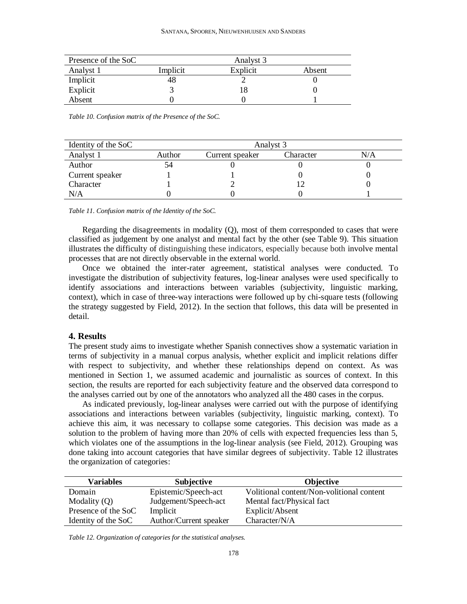| Presence of the SoC |          | Analyst 3 |        |  |  |  |
|---------------------|----------|-----------|--------|--|--|--|
| Analyst 1           | Implicit | Explicit  | Absent |  |  |  |
| Implicit            | 48       |           |        |  |  |  |
| Explicit            |          | 18        |        |  |  |  |
| Absent              |          |           |        |  |  |  |

*Table 10. Confusion matrix of the Presence of the SoC.*

| Identity of the SoC | Analyst 3 |                 |           |     |  |  |
|---------------------|-----------|-----------------|-----------|-----|--|--|
| Analyst 1           | Author    | Current speaker | Character | N/A |  |  |
| Author              |           |                 |           |     |  |  |
| Current speaker     |           |                 |           |     |  |  |
| Character           |           |                 |           |     |  |  |
| N/A                 |           |                 |           |     |  |  |

*Table 11. Confusion matrix of the Identity of the SoC.*

Regarding the disagreements in modality (Q), most of them corresponded to cases that were classified as judgement by one analyst and mental fact by the other (see Table 9). This situation illustrates the difficulty of distinguishing these indicators, especially because both involve mental processes that are not directly observable in the external world.

Once we obtained the inter-rater agreement, statistical analyses were conducted. To investigate the distribution of subjectivity features, log-linear analyses were used specifically to identify associations and interactions between variables (subjectivity, linguistic marking, context), which in case of three-way interactions were followed up by chi-square tests (following the strategy suggested by Field, 2012). In the section that follows, this data will be presented in detail.

#### **4. Results**

The present study aims to investigate whether Spanish connectives show a systematic variation in terms of subjectivity in a manual corpus analysis, whether explicit and implicit relations differ with respect to subjectivity, and whether these relationships depend on context. As was mentioned in Section 1, we assumed academic and journalistic as sources of context. In this section, the results are reported for each subjectivity feature and the observed data correspond to the analyses carried out by one of the annotators who analyzed all the 480 cases in the corpus.

As indicated previously, log-linear analyses were carried out with the purpose of identifying associations and interactions between variables (subjectivity, linguistic marking, context). To achieve this aim, it was necessary to collapse some categories. This decision was made as a solution to the problem of having more than 20% of cells with expected frequencies less than 5, which violates one of the assumptions in the log-linear analysis (see Field, 2012). Grouping was done taking into account categories that have similar degrees of subjectivity. Table 12 illustrates the organization of categories:

| <b>Variables</b>    | <b>Subjective</b>      | <b>Objective</b>                          |
|---------------------|------------------------|-------------------------------------------|
| Domain              | Epistemic/Speech-act   | Volitional content/Non-volitional content |
| Modality $(Q)$      | Judgement/Speech-act   | Mental fact/Physical fact                 |
| Presence of the SoC | Implicit               | Explicit/Absent                           |
| Identity of the SoC | Author/Current speaker | Character/N/A                             |

*Table 12. Organization of categories for the statistical analyses.*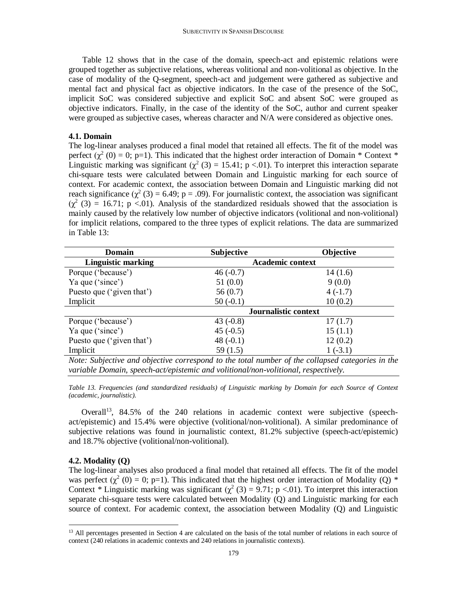Table 12 shows that in the case of the domain, speech-act and epistemic relations were grouped together as subjective relations, whereas volitional and non-volitional as objective. In the case of modality of the Q-segment, speech-act and judgement were gathered as subjective and mental fact and physical fact as objective indicators. In the case of the presence of the SoC, implicit SoC was considered subjective and explicit SoC and absent SoC were grouped as objective indicators. Finally, in the case of the identity of the SoC, author and current speaker were grouped as subjective cases, whereas character and N/A were considered as objective ones.

#### **4.1. Domain**

The log-linear analyses produced a final model that retained all effects. The fit of the model was perfect  $(\chi^2(0) = 0; p=1)$ . This indicated that the highest order interaction of Domain \* Context \* Linguistic marking was significant  $(\chi^2(3) = 15.41; p < 0.01)$ . To interpret this interaction separate chi-square tests were calculated between Domain and Linguistic marking for each source of context. For academic context, the association between Domain and Linguistic marking did not reach significance ( $\chi^2$  (3) = 6.49; p = .09). For journalistic context, the association was significant  $(\chi^2$  (3) = 16.71; p <.01). Analysis of the standardized residuals showed that the association is mainly caused by the relatively low number of objective indicators (volitional and non-volitional) for implicit relations, compared to the three types of explicit relations. The data are summarized in Table 13:

| <b>Domain</b>             | <b>Subjective</b>       | <b>Objective</b> |
|---------------------------|-------------------------|------------------|
| <b>Linguistic marking</b> | <b>Academic context</b> |                  |
| Porque ('because')        | $46(-0.7)$              | 14(1.6)          |
| Ya que ('since')          | 51(0.0)                 | 9(0.0)           |
| Puesto que ('given that') | 56(0.7)                 | $4(-1.7)$        |
| Implicit                  | $50(-0.1)$              | 10(0.2)          |
|                           | Journalistic context    |                  |
| Porque ('because')        | 43 $(-0.8)$             | 17(1.7)          |
| Ya que ('since')          | $45(-0.5)$              | 15(1.1)          |
| Puesto que ('given that') | 48 $(-0.1)$             | 12(0.2)          |
| Implicit                  | 59 $(1.5)$              | $1(-3.1)$        |

*Note: Subjective and objective correspond to the total number of the collapsed categories in the variable Domain, speech-act/epistemic and volitional/non-volitional, respectively.*

*Table 13. Frequencies (and standardized residuals) of Linguistic marking by Domain for each Source of Context (academic, journalistic).*

Overall<sup>13</sup>, 84.5% of the 240 relations in academic context were subjective (speechact/epistemic) and 15.4% were objective (volitional/non-volitional). A similar predominance of subjective relations was found in journalistic context, 81.2% subjective (speech-act/epistemic) and 18.7% objective (volitional/non-volitional).

#### **4.2. Modality (Q)**

 $\overline{a}$ 

The log-linear analyses also produced a final model that retained all effects. The fit of the model was perfect  $(\chi^2(0) = 0; p=1)$ . This indicated that the highest order interaction of Modality (Q) \* Context \* Linguistic marking was significant ( $\chi^2$  (3) = 9.71; p <.01). To interpret this interaction separate chi-square tests were calculated between Modality (Q) and Linguistic marking for each source of context. For academic context, the association between Modality (Q) and Linguistic

<sup>&</sup>lt;sup>13</sup> All percentages presented in Section 4 are calculated on the basis of the total number of relations in each source of context (240 relations in academic contexts and 240 relations in journalistic contexts).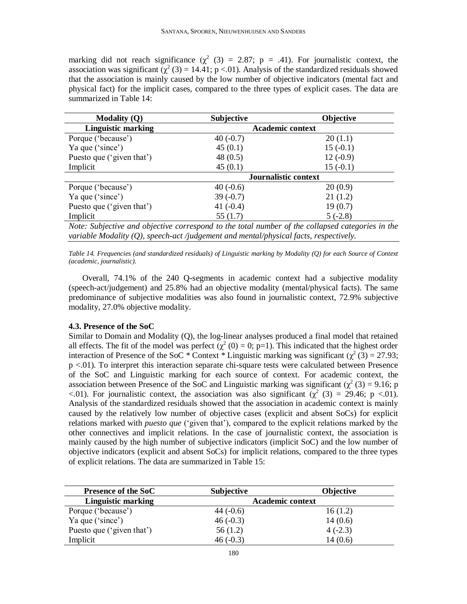marking did not reach significance ( $\chi^2$  (3) = 2.87; p = .41). For journalistic context, the association was significant  $(\chi^2(3) = 14.41; p < 0.01)$ . Analysis of the standardized residuals showed that the association is mainly caused by the low number of objective indicators (mental fact and physical fact) for the implicit cases, compared to the three types of explicit cases. The data are summarized in Table 14:

| <b>Modality (Q)</b>                                                                                                                                                                                                                                                                              | <b>Subjective</b>       | <b>Objective</b>     |
|--------------------------------------------------------------------------------------------------------------------------------------------------------------------------------------------------------------------------------------------------------------------------------------------------|-------------------------|----------------------|
| <b>Linguistic marking</b>                                                                                                                                                                                                                                                                        | <b>Academic context</b> |                      |
| Porque ('because')                                                                                                                                                                                                                                                                               | $40(-0.7)$              | 20(1.1)              |
| Ya que ('since')                                                                                                                                                                                                                                                                                 | 45(0.1)                 | $15(-0.1)$           |
| Puesto que ('given that')                                                                                                                                                                                                                                                                        | 48 $(0.5)$              | $12(-0.9)$           |
| Implicit                                                                                                                                                                                                                                                                                         | 45(0.1)                 | $15(-0.1)$           |
|                                                                                                                                                                                                                                                                                                  |                         | Journalistic context |
| Porque ('because')                                                                                                                                                                                                                                                                               | $40(-0.6)$              | 20(0.9)              |
| Ya que ('since')                                                                                                                                                                                                                                                                                 | $39(-0.7)$              | 21(1.2)              |
| Puesto que ('given that')                                                                                                                                                                                                                                                                        | 41 $(-0.4)$             | 19(0.7)              |
| Implicit                                                                                                                                                                                                                                                                                         | 55 $(1.7)$              | $5(-2.8)$            |
| $\mathbf{M}$ and $\mathbf{M}$ and $\mathbf{M}$ and $\mathbf{M}$ and $\mathbf{M}$ are $\mathbf{M}$ and $\mathbf{M}$ and $\mathbf{M}$ are $\mathbf{M}$ and $\mathbf{M}$ are $\mathbf{M}$ and $\mathbf{M}$ are $\mathbf{M}$ and $\mathbf{M}$ are $\mathbf{M}$ and $\mathbf{M}$ are $\mathbf{M}$ and |                         |                      |

*Note: Subjective and objective correspond to the total number of the collapsed categories in the variable Modality (Q), speech-act /judgement and mental/physical facts, respectively.*

*Table 14. Frequencies (and standardized residuals) of Linguistic marking by Modality (Q) for each Source of Context (academic, journalistic).*

Overall, 74.1% of the 240 Q-segments in academic context had a subjective modality (speech-act/judgement) and 25.8% had an objective modality (mental/physical facts). The same predominance of subjective modalities was also found in journalistic context, 72.9% subjective modality, 27.0% objective modality.

#### **4.3. Presence of the SoC**

Similar to Domain and Modality (Q), the log-linear analyses produced a final model that retained all effects. The fit of the model was perfect  $(\chi^2(0) = 0; p=1)$ . This indicated that the highest order interaction of Presence of the SoC \* Context \* Linguistic marking was significant ( $\chi^2$  (3) = 27.93; p <.01). To interpret this interaction separate chi-square tests were calculated between Presence of the SoC and Linguistic marking for each source of context. For academic context, the association between Presence of the SoC and Linguistic marking was significant ( $\chi^2$  (3) = 9.16; p  $\lt$ .01). For journalistic context, the association was also significant ( $\chi^2$  (3) = 29.46; p  $\lt$ .01). Analysis of the standardized residuals showed that the association in academic context is mainly caused by the relatively low number of objective cases (explicit and absent SoCs) for explicit relations marked with *puesto que* ('given that'), compared to the explicit relations marked by the other connectives and implicit relations. In the case of journalistic context, the association is mainly caused by the high number of subjective indicators (implicit SoC) and the low number of objective indicators (explicit and absent SoCs) for implicit relations, compared to the three types of explicit relations. The data are summarized in Table 15:

| <b>Presence of the SoC</b> | <b>Subjective</b>       | <b>Objective</b> |
|----------------------------|-------------------------|------------------|
| <b>Linguistic marking</b>  | <b>Academic context</b> |                  |
| Porque ('because')         | 44 $(-0.6)$             | 16(1.2)          |
| Ya que ('since')           | $46(-0.3)$              | 14(0.6)          |
| Puesto que ('given that')  | 56(1.2)                 | $4(-2.3)$        |
| Implicit                   | $46(-0.3)$              | 14(0.6)          |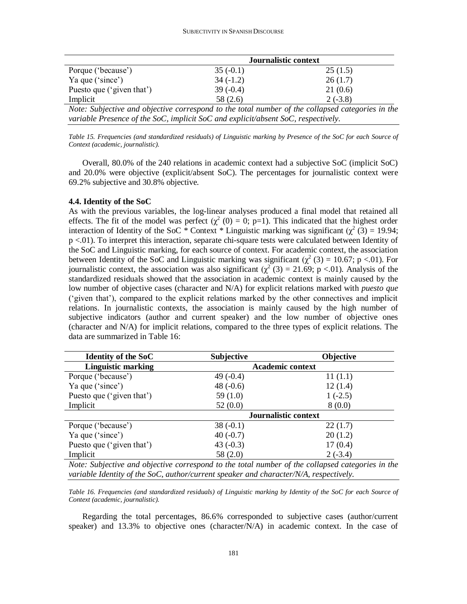|                           | Journalistic context |           |
|---------------------------|----------------------|-----------|
| Porque ('because')        | $35(-0.1)$           | 25(1.5)   |
| Ya que ('since')          | $34(-1.2)$           | 26(1.7)   |
| Puesto que ('given that') | $39(-0.4)$           | 21(0.6)   |
| Implicit                  | 58 (2.6)             | $2(-3.8)$ |

*Note: Subjective and objective correspond to the total number of the collapsed categories in the variable Presence of the SoC, implicit SoC and explicit/absent SoC, respectively.*

*Table 15. Frequencies (and standardized residuals) of Linguistic marking by Presence of the SoC for each Source of Context (academic, journalistic).*

Overall, 80.0% of the 240 relations in academic context had a subjective SoC (implicit SoC) and 20.0% were objective (explicit/absent SoC). The percentages for journalistic context were 69.2% subjective and 30.8% objective.

#### **4.4. Identity of the SoC**

As with the previous variables, the log-linear analyses produced a final model that retained all effects. The fit of the model was perfect  $(\chi^2(0) = 0; p=1)$ . This indicated that the highest order interaction of Identity of the SoC  $*$  Context  $*$  Linguistic marking was significant ( $\chi^2$  (3) = 19.94; p <.01). To interpret this interaction, separate chi-square tests were calculated between Identity of the SoC and Linguistic marking, for each source of context. For academic context, the association between Identity of the SoC and Linguistic marking was significant ( $\chi^2$  (3) = 10.67; p <.01). For journalistic context, the association was also significant ( $\chi^2$  (3) = 21.69; p <.01). Analysis of the standardized residuals showed that the association in academic context is mainly caused by the low number of objective cases (character and N/A) for explicit relations marked with *puesto que* ('given that'), compared to the explicit relations marked by the other connectives and implicit relations. In journalistic contexts, the association is mainly caused by the high number of subjective indicators (author and current speaker) and the low number of objective ones (character and N/A) for implicit relations, compared to the three types of explicit relations. The data are summarized in Table 16:

| <b>Identity of the SoC</b>                                                   | <b>Subjective</b>                                                                                          | <b>Objective</b>                                          |
|------------------------------------------------------------------------------|------------------------------------------------------------------------------------------------------------|-----------------------------------------------------------|
| <b>Linguistic marking</b>                                                    | <b>Academic context</b>                                                                                    |                                                           |
| Porque ('because')                                                           | 49 $(-0.4)$                                                                                                | 11(1.1)                                                   |
| Ya que ('since')                                                             | 48 $(-0.6)$                                                                                                | 12(1.4)                                                   |
| Puesto que ('given that')                                                    | 59 $(1.0)$                                                                                                 | $1(-2.5)$                                                 |
| Implicit                                                                     | 52(0.0)                                                                                                    | 8(0.0)                                                    |
|                                                                              |                                                                                                            | Journalistic context                                      |
| Porque ('because')                                                           | $38(-0.1)$                                                                                                 | 22(1.7)                                                   |
| Ya que ('since')                                                             | $40(-0.7)$                                                                                                 | 20(1.2)                                                   |
| Puesto que ('given that')                                                    | 43 $(-0.3)$                                                                                                | 17(0.4)                                                   |
| Implicit                                                                     | 58 (2.0)                                                                                                   | $2(-3.4)$                                                 |
| $\mathbf{v}$ $\mathbf{v}$ $\mathbf{v}$ $\mathbf{v}$ $\mathbf{v}$<br>$\cdots$ | $\mathbf{1}$ $\mathbf{1}$ $\mathbf{1}$ $\mathbf{1}$ $\mathbf{1}$ $\mathbf{1}$ $\mathbf{1}$<br>$\mathbf{r}$ | $\mathcal{C}$ $\mathcal{A}$<br>$\mathbf{11}$ $\mathbf{1}$ |

*Note: Subjective and objective correspond to the total number of the collapsed categories in the variable Identity of the SoC, author/current speaker and character/N/A, respectively.*

*Table 16. Frequencies (and standardized residuals) of Linguistic marking by Identity of the SoC for each Source of Context (academic, journalistic).*

Regarding the total percentages, 86.6% corresponded to subjective cases (author/current speaker) and 13.3% to objective ones (character/N/A) in academic context. In the case of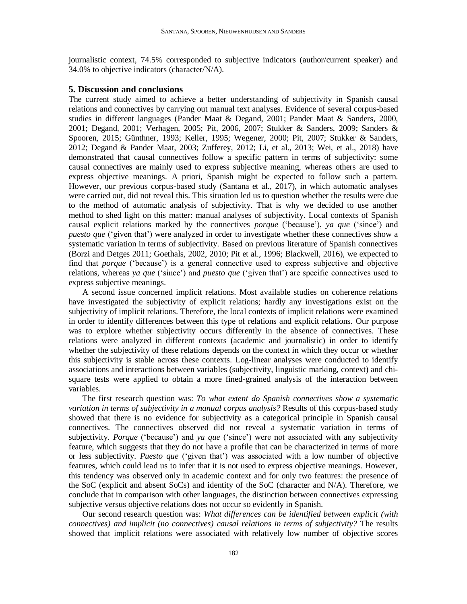journalistic context, 74.5% corresponded to subjective indicators (author/current speaker) and 34.0% to objective indicators (character/N/A).

#### **5. Discussion and conclusions**

The current study aimed to achieve a better understanding of subjectivity in Spanish causal relations and connectives by carrying out manual text analyses. Evidence of several corpus-based studies in different languages (Pander Maat & Degand, 2001; Pander Maat & Sanders, 2000, 2001; Degand, 2001; Verhagen, 2005; Pit, 2006, 2007; Stukker & Sanders, 2009; Sanders & Spooren, 2015; Günthner, 1993; Keller, 1995; Wegener, 2000; Pit, 2007; Stukker & Sanders, 2012; Degand & Pander Maat, 2003; Zufferey, 2012; Li, et al., 2013; Wei, et al., 2018) have demonstrated that causal connectives follow a specific pattern in terms of subjectivity: some causal connectives are mainly used to express subjective meaning, whereas others are used to express objective meanings. A priori, Spanish might be expected to follow such a pattern. However, our previous corpus-based study (Santana et al., 2017), in which automatic analyses were carried out, did not reveal this. This situation led us to question whether the results were due to the method of automatic analysis of subjectivity. That is why we decided to use another method to shed light on this matter: manual analyses of subjectivity. Local contexts of Spanish causal explicit relations marked by the connectives *porque* ('because'), *ya que* ('since') and *puesto que* ('given that') were analyzed in order to investigate whether these connectives show a systematic variation in terms of subjectivity. Based on previous literature of Spanish connectives (Borzi and Detges 2011; Goethals, 2002, 2010; Pit et al., 1996; Blackwell, 2016), we expected to find that *porque* ('because') is a general connective used to express subjective and objective relations, whereas *ya que* ('since') and *puesto que* ('given that') are specific connectives used to express subjective meanings.

A second issue concerned implicit relations. Most available studies on coherence relations have investigated the subjectivity of explicit relations; hardly any investigations exist on the subjectivity of implicit relations. Therefore, the local contexts of implicit relations were examined in order to identify differences between this type of relations and explicit relations. Our purpose was to explore whether subjectivity occurs differently in the absence of connectives. These relations were analyzed in different contexts (academic and journalistic) in order to identify whether the subjectivity of these relations depends on the context in which they occur or whether this subjectivity is stable across these contexts. Log-linear analyses were conducted to identify associations and interactions between variables (subjectivity, linguistic marking, context) and chisquare tests were applied to obtain a more fined-grained analysis of the interaction between variables.

The first research question was: *To what extent do Spanish connectives show a systematic variation in terms of subjectivity in a manual corpus analysis?* Results of this corpus-based study showed that there is no evidence for subjectivity as a categorical principle in Spanish causal connectives. The connectives observed did not reveal a systematic variation in terms of subjectivity. *Porque* ('because') and *ya que* ('since') were not associated with any subjectivity feature, which suggests that they do not have a profile that can be characterized in terms of more or less subjectivity. *Puesto que* ('given that') was associated with a low number of objective features, which could lead us to infer that it is not used to express objective meanings. However, this tendency was observed only in academic context and for only two features: the presence of the SoC (explicit and absent SoCs) and identity of the SoC (character and N/A). Therefore, we conclude that in comparison with other languages, the distinction between connectives expressing subjective versus objective relations does not occur so evidently in Spanish.

Our second research question was: *What differences can be identified between explicit (with connectives) and implicit (no connectives) causal relations in terms of subjectivity?* The results showed that implicit relations were associated with relatively low number of objective scores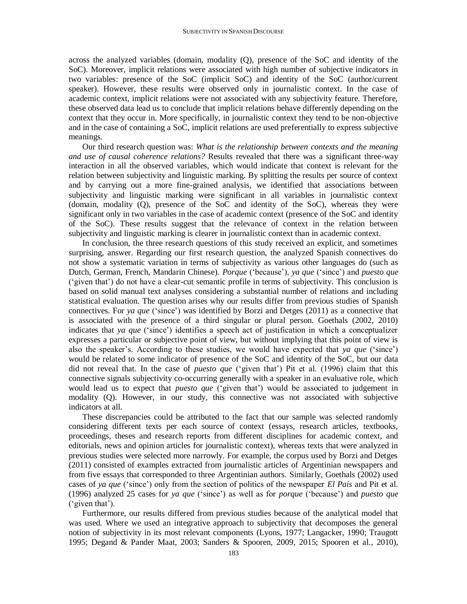across the analyzed variables (domain, modality (Q), presence of the SoC and identity of the SoC). Moreover, implicit relations were associated with high number of subjective indicators in two variables: presence of the SoC (implicit SoC) and identity of the SoC (author/current speaker). However, these results were observed only in journalistic context. In the case of academic context, implicit relations were not associated with any subjectivity feature. Therefore, these observed data lead us to conclude that implicit relations behave differently depending on the context that they occur in. More specifically, in journalistic context they tend to be non-objective and in the case of containing a SoC, implicit relations are used preferentially to express subjective meanings.

Our third research question was: *What is the relationship between contexts and the meaning and use of causal coherence relations?* Results revealed that there was a significant three-way interaction in all the observed variables, which would indicate that context is relevant for the relation between subjectivity and linguistic marking. By splitting the results per source of context and by carrying out a more fine-grained analysis, we identified that associations between subjectivity and linguistic marking were significant in all variables in journalistic context (domain, modality (Q), presence of the SoC and identity of the SoC), whereas they were significant only in two variables in the case of academic context (presence of the SoC and identity of the SoC). These results suggest that the relevance of context in the relation between subjectivity and linguistic marking is clearer in journalistic context than in academic context.

In conclusion, the three research questions of this study received an explicit, and sometimes surprising, answer. Regarding our first research question, the analyzed Spanish connectives do not show a systematic variation in terms of subjectivity as various other languages do (such as Dutch, German, French, Mandarin Chinese). *Porque* ('because'), *ya que* ('since') and *puesto que* ('given that') do not have a clear-cut semantic profile in terms of subjectivity. This conclusion is based on solid manual text analyses considering a substantial number of relations and including statistical evaluation. The question arises why our results differ from previous studies of Spanish connectives. For *ya que* ('since') was identified by Borzi and Detges (2011) as a connective that is associated with the presence of a third singular or plural person. Goethals (2002, 2010) indicates that *ya que* ('since') identifies a speech act of justification in which a conceptualizer expresses a particular or subjective point of view, but without implying that this point of view is also the speaker's. According to these studies, we would have expected that *ya que* ('since') would be related to some indicator of presence of the SoC and identity of the SoC, but our data did not reveal that. In the case of *puesto que* ('given that') Pit et al. (1996) claim that this connective signals subjectivity co-occurring generally with a speaker in an evaluative role, which would lead us to expect that *puesto que* ('given that') would be associated to judgement in modality (Q). However, in our study, this connective was not associated with subjective indicators at all.

These discrepancies could be attributed to the fact that our sample was selected randomly considering different texts per each source of context (essays, research articles, textbooks, proceedings, theses and research reports from different disciplines for academic context, and editorials, news and opinion articles for journalistic context), whereas texts that were analyzed in previous studies were selected more narrowly. For example, the corpus used by Borzi and Detges (2011) consisted of examples extracted from journalistic articles of Argentinian newspapers and from five essays that corresponded to three Argentinian authors. Similarly, Goethals (2002) used cases of *ya que* ('since') only from the section of politics of the newspaper *El País* and Pit et al. (1996) analyzed 25 cases for *ya que* ('since') as well as for *porque* ('because') and *puesto que* ('given that').

Furthermore, our results differed from previous studies because of the analytical model that was used. Where we used an integrative approach to subjectivity that decomposes the general notion of subjectivity in its most relevant components (Lyons, 1977; Langacker, 1990; Traugott 1995; Degand & Pander Maat, 2003; Sanders & Spooren, 2009, 2015; Spooren et al., 2010),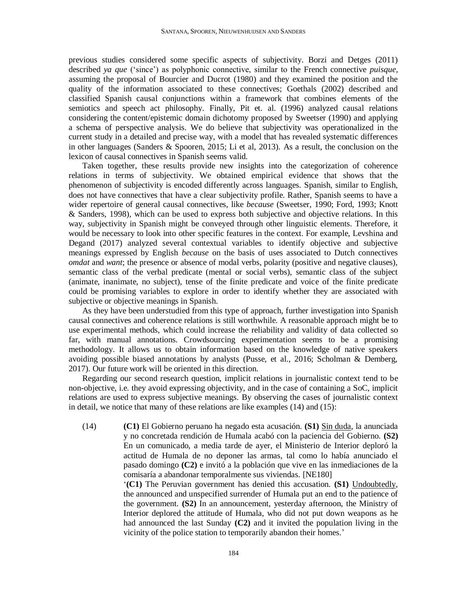previous studies considered some specific aspects of subjectivity. Borzi and Detges (2011) described *ya que* ('since') as polyphonic connective, similar to the French connective *puisque,* assuming the proposal of Bourcier and Ducrot (1980) and they examined the position and the quality of the information associated to these connectives; Goethals (2002) described and classified Spanish causal conjunctions within a framework that combines elements of the semiotics and speech act philosophy. Finally, Pit et. al. (1996) analyzed causal relations considering the content/epistemic domain dichotomy proposed by Sweetser (1990) and applying a schema of perspective analysis. We do believe that subjectivity was operationalized in the current study in a detailed and precise way, with a model that has revealed systematic differences in other languages (Sanders & Spooren, 2015; Li et al, 2013). As a result, the conclusion on the lexicon of causal connectives in Spanish seems valid.

Taken together, these results provide new insights into the categorization of coherence relations in terms of subjectivity. We obtained empirical evidence that shows that the phenomenon of subjectivity is encoded differently across languages. Spanish, similar to English, does not have connectives that have a clear subjectivity profile. Rather, Spanish seems to have a wider repertoire of general causal connectives, like *because* (Sweetser, 1990; Ford, 1993; Knott & Sanders, 1998)*,* which can be used to express both subjective and objective relations. In this way, subjectivity in Spanish might be conveyed through other linguistic elements. Therefore, it would be necessary to look into other specific features in the context. For example, Levshina and Degand (2017) analyzed several contextual variables to identify objective and subjective meanings expressed by English *because* on the basis of uses associated to Dutch connectives *omdat* and *want*; the presence or absence of modal verbs, polarity (positive and negative clauses), semantic class of the verbal predicate (mental or social verbs), semantic class of the subject (animate, inanimate, no subject), tense of the finite predicate and voice of the finite predicate could be promising variables to explore in order to identify whether they are associated with subjective or objective meanings in Spanish.

As they have been understudied from this type of approach, further investigation into Spanish causal connectives and coherence relations is still worthwhile. A reasonable approach might be to use experimental methods, which could increase the reliability and validity of data collected so far, with manual annotations. Crowdsourcing experimentation seems to be a promising methodology. It allows us to obtain information based on the knowledge of native speakers avoiding possible biased annotations by analysts (Pusse, et al., 2016; Scholman & Demberg, 2017). Our future work will be oriented in this direction.

Regarding our second research question, implicit relations in journalistic context tend to be non-objective, i.e. they avoid expressing objectivity, and in the case of containing a SoC, implicit relations are used to express subjective meanings. By observing the cases of journalistic context in detail, we notice that many of these relations are like examples (14) and (15):

(14) **(C1)** El Gobierno peruano ha negado esta acusación. **(S1)** Sin duda, la anunciada y no concretada rendición de Humala acabó con la paciencia del Gobierno. **(S2)** En un comunicado, a media tarde de ayer, el Ministerio de Interior deploró la actitud de Humala de no deponer las armas, tal como lo había anunciado el pasado domingo **(C2)** e invitó a la población que vive en las inmediaciones de la comisaría a abandonar temporalmente sus viviendas. [NE180]

> '**(C1)** The Peruvian government has denied this accusation. **(S1)** Undoubtedly, the announced and unspecified surrender of Humala put an end to the patience of the government. **(S2)** In an announcement, yesterday afternoon, the Ministry of Interior deplored the attitude of Humala, who did not put down weapons as he had announced the last Sunday **(C2)** and it invited the population living in the vicinity of the police station to temporarily abandon their homes.'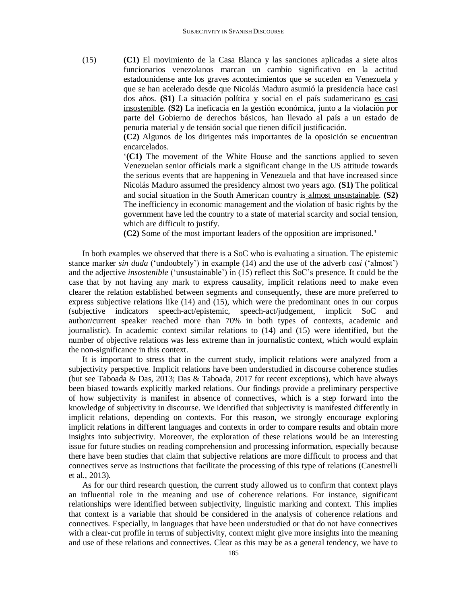(15) **(C1)** El movimiento de la Casa Blanca y las sanciones aplicadas a siete altos funcionarios venezolanos marcan un cambio significativo en la actitud estadounidense ante los graves acontecimientos que se suceden en Venezuela y que se han acelerado desde que Nicolás Maduro asumió la presidencia hace casi dos años. **(S1)** La situación política y social en el país sudamericano es casi insostenible. **(S2)** La ineficacia en la gestión económica, junto a la violación por parte del Gobierno de derechos básicos, han llevado al país a un estado de penuria material y de tensión social que tienen difícil justificación.

> **(C2)** Algunos de los dirigentes más importantes de la oposición se encuentran encarcelados.

> '**(C1)** The movement of the White House and the sanctions applied to seven Venezuelan senior officials mark a significant change in the US attitude towards the serious events that are happening in Venezuela and that have increased since Nicolás Maduro assumed the presidency almost two years ago. **(S1)** The political and social situation in the South American country is almost unsustainable. **(S2)** The inefficiency in economic management and the violation of basic rights by the government have led the country to a state of material scarcity and social tension, which are difficult to justify.

**(C2)** Some of the most important leaders of the opposition are imprisoned.**'**

In both examples we observed that there is a SoC who is evaluating a situation. The epistemic stance marker *sin duda* ('undoubtely') in example (14) and the use of the adverb *casi* ('almost') and the adjective *insostenible* ('unsustainable') in (15) reflect this SoC's presence. It could be the case that by not having any mark to express causality, implicit relations need to make even clearer the relation established between segments and consequently, these are more preferred to express subjective relations like (14) and (15), which were the predominant ones in our corpus (subjective indicators speech-act/epistemic, speech-act/judgement, implicit SoC and author/current speaker reached more than 70% in both types of contexts, academic and journalistic). In academic context similar relations to (14) and (15) were identified, but the number of objective relations was less extreme than in journalistic context, which would explain the non-significance in this context.

It is important to stress that in the current study, implicit relations were analyzed from a subjectivity perspective. Implicit relations have been understudied in discourse coherence studies (but see Taboada & Das, 2013; Das & Taboada, 2017 for recent exceptions), which have always been biased towards explicitly marked relations. Our findings provide a preliminary perspective of how subjectivity is manifest in absence of connectives, which is a step forward into the knowledge of subjectivity in discourse. We identified that subjectivity is manifested differently in implicit relations, depending on contexts. For this reason, we strongly encourage exploring implicit relations in different languages and contexts in order to compare results and obtain more insights into subjectivity. Moreover, the exploration of these relations would be an interesting issue for future studies on reading comprehension and processing information, especially because there have been studies that claim that subjective relations are more difficult to process and that connectives serve as instructions that facilitate the processing of this type of relations (Canestrelli et al., 2013).

As for our third research question, the current study allowed us to confirm that context plays an influential role in the meaning and use of coherence relations. For instance, significant relationships were identified between subjectivity, linguistic marking and context. This implies that context is a variable that should be considered in the analysis of coherence relations and connectives. Especially, in languages that have been understudied or that do not have connectives with a clear-cut profile in terms of subjectivity, context might give more insights into the meaning and use of these relations and connectives. Clear as this may be as a general tendency, we have to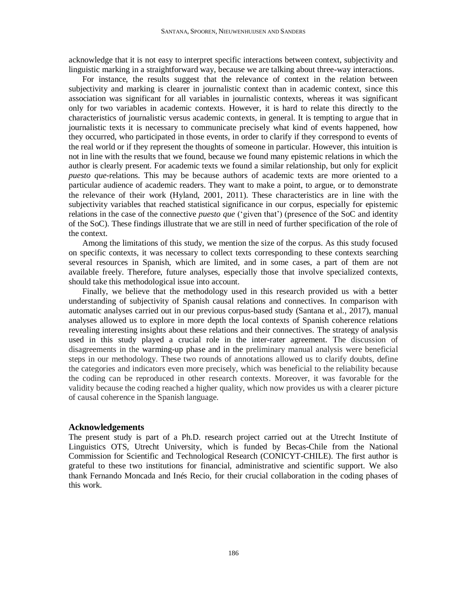acknowledge that it is not easy to interpret specific interactions between context, subjectivity and linguistic marking in a straightforward way, because we are talking about three-way interactions.

For instance, the results suggest that the relevance of context in the relation between subjectivity and marking is clearer in journalistic context than in academic context, since this association was significant for all variables in journalistic contexts, whereas it was significant only for two variables in academic contexts. However, it is hard to relate this directly to the characteristics of journalistic versus academic contexts, in general. It is tempting to argue that in journalistic texts it is necessary to communicate precisely what kind of events happened, how they occurred, who participated in those events, in order to clarify if they correspond to events of the real world or if they represent the thoughts of someone in particular. However, this intuition is not in line with the results that we found, because we found many epistemic relations in which the author is clearly present. For academic texts we found a similar relationship, but only for explicit *puesto que*-relations. This may be because authors of academic texts are more oriented to a particular audience of academic readers. They want to make a point, to argue, or to demonstrate the relevance of their work (Hyland, 2001, 2011). These characteristics are in line with the subjectivity variables that reached statistical significance in our corpus, especially for epistemic relations in the case of the connective *puesto que* ('given that') (presence of the SoC and identity of the SoC). These findings illustrate that we are still in need of further specification of the role of the context.

Among the limitations of this study, we mention the size of the corpus. As this study focused on specific contexts, it was necessary to collect texts corresponding to these contexts searching several resources in Spanish, which are limited, and in some cases, a part of them are not available freely. Therefore, future analyses, especially those that involve specialized contexts, should take this methodological issue into account.

Finally, we believe that the methodology used in this research provided us with a better understanding of subjectivity of Spanish causal relations and connectives. In comparison with automatic analyses carried out in our previous corpus-based study (Santana et al., 2017), manual analyses allowed us to explore in more depth the local contexts of Spanish coherence relations revealing interesting insights about these relations and their connectives. The strategy of analysis used in this study played a crucial role in the inter-rater agreement. The discussion of disagreements in the warming-up phase and in the preliminary manual analysis were beneficial steps in our methodology. These two rounds of annotations allowed us to clarify doubts, define the categories and indicators even more precisely, which was beneficial to the reliability because the coding can be reproduced in other research contexts. Moreover, it was favorable for the validity because the coding reached a higher quality, which now provides us with a clearer picture of causal coherence in the Spanish language.

#### **Acknowledgements**

The present study is part of a Ph.D. research project carried out at the Utrecht Institute of Linguistics OTS, Utrecht University, which is funded by Becas-Chile from the National Commission for Scientific and Technological Research (CONICYT-CHILE). The first author is grateful to these two institutions for financial, administrative and scientific support. We also thank Fernando Moncada and Inés Recio, for their crucial collaboration in the coding phases of this work.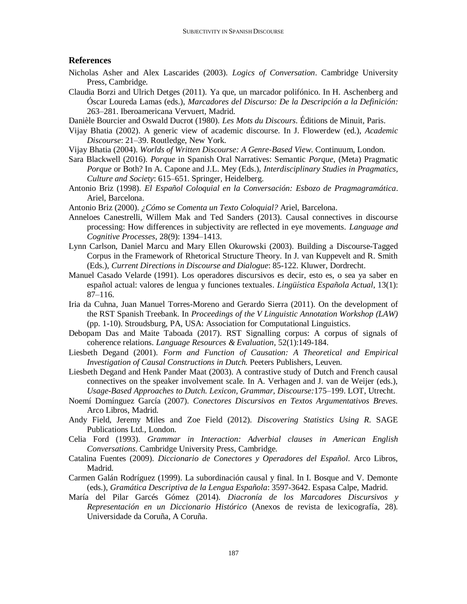#### **References**

- Nicholas Asher and Alex Lascarides (2003). *Logics of Conversation*. Cambridge University Press, Cambridge.
- Claudia Borzi and Ulrich Detges (2011). Ya que, un marcador polifónico. In H. Aschenberg and Óscar Loureda Lamas (eds.), *Marcadores del Discurso: De la Descripción a la Definición:*  263–281. Iberoamericana Vervuert, Madrid.
- Danièle Bourcier and Oswald Ducrot (1980). *Les Mots du Discours*. Éditions de Minuit, Paris.
- Vijay Bhatia (2002). A generic view of academic discourse. In J. Flowerdew (ed.), *Academic Discourse*: 21–39. Routledge, New York.
- Vijay Bhatia (2004). *Worlds of Written Discourse: A Genre-Based View*. Continuum, London.
- Sara Blackwell (2016). *Porque* in Spanish Oral Narratives: Semantic *Porque*, (Meta) Pragmatic *Porque* or Both? In A. Capone and J.L. Mey (Eds.), *Interdisciplinary Studies in Pragmatics, Culture and Society*: 615–651. Springer, Heidelberg.
- Antonio Briz (1998). *El Español Coloquial en la Conversación: Esbozo de Pragmagramática*. Ariel, Barcelona.

Antonio Briz (2000). *¿Cómo se Comenta un Texto Coloquial?* Ariel, Barcelona.

- Anneloes Canestrelli, Willem Mak and Ted Sanders (2013). Causal connectives in discourse processing: How differences in subjectivity are reflected in eye movements. *Language and Cognitive Processes*, 28(9): 1394–1413.
- Lynn Carlson, Daniel Marcu and Mary Ellen Okurowski (2003). Building a Discourse-Tagged Corpus in the Framework of Rhetorical Structure Theory. In J. van Kuppevelt and R. Smith (Eds.), *Current Directions in Discourse and Dialogue*: 85-122. Kluwer, Dordrecht.
- Manuel Casado Velarde (1991). Los operadores discursivos es decir, esto es, o sea ya saber en español actual: valores de lengua y funciones textuales. *Lingüı́ stica Española Actual*, 13(1): 87–116.
- Iria da Cuhna, Juan Manuel Torres-Moreno and Gerardo Sierra (2011). On the development of the RST Spanish Treebank. In *Proceedings of the V Linguistic Annotation Workshop (LAW)* (pp. 1-10). Stroudsburg, PA, USA: Association for Computational Linguistics.
- Debopam Das and Maite Taboada (2017). RST Signalling corpus: A corpus of signals of coherence relations. *Language Resources & Evaluation*, 52(1):149-184.
- Liesbeth Degand (2001). *Form and Function of Causation: A Theoretical and Empirical Investigation of Causal Constructions in Dutch.* Peeters Publishers, Leuven.
- Liesbeth Degand and Henk Pander Maat (2003). A contrastive study of Dutch and French causal connectives on the speaker involvement scale. In A. Verhagen and J. van de Weijer (eds.), *Usage-Based Approaches to Dutch. Lexicon, Grammar, Discourse:*175–199. LOT, Utrecht.
- Noemí Domínguez García (2007). *Conectores Discursivos en Textos Argumentativos Breves.* Arco Libros, Madrid.
- Andy Field, Jeremy Miles and Zoe Field (2012). *Discovering Statistics Using R*. SAGE Publications Ltd., London.
- Celia Ford (1993). *Grammar in Interaction: Adverbial clauses in American English Conversations*. Cambridge University Press, Cambridge.
- Catalina Fuentes (2009). *Diccionario de Conectores y Operadores del Español*. Arco Libros, Madrid.
- Carmen Galán Rodríguez (1999). La subordinación causal y final. In I. Bosque and V. Demonte (eds.), *Gramática Descriptiva de la Lengua Española*: 3597-3642. Espasa Calpe, Madrid.
- María del Pilar Garcés Gómez (2014). *Diacronía de los Marcadores Discursivos y Representación en un Diccionario Histórico* (Anexos de revista de lexicografía, 28)*.* Universidade da Coruña, A Coruña.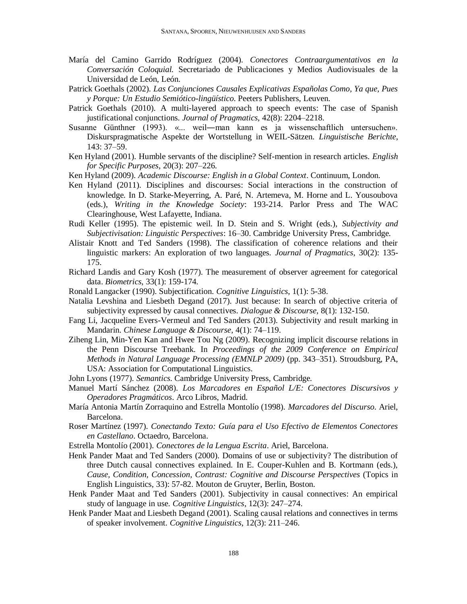- María del Camino Garrido Rodríguez (2004). *Conectores Contraargumentativos en la Conversación Coloquial.* Secretariado de Publicaciones y Medios Audiovisuales de la Universidad de León, León.
- Patrick Goethals (2002). *Las Conjunciones Causales Explicativas Españolas Como, Ya que, Pues y Porque: Un Estudio Semiótico-lingüístico*. Peeters Publishers, Leuven.
- Patrick Goethals (2010). A multi-layered approach to speech events: The case of Spanish justificational conjunctions. *Journal of Pragmatics*, 42(8): 2204–2218.
- Susanne Günthner (1993). «... weil―man kann es ja wissenschaftlich untersuchen». Diskurspragmatische Aspekte der Wortstellung in WEIL-Sätzen. *Linguistische Berichte*, 143: 37–59.
- Ken Hyland (2001). Humble servants of the discipline? Self-mention in research articles. *English for Specific Purposes*, 20(3): 207–226.
- Ken Hyland (2009). *Academic Discourse: English in a Global Context*. Continuum, London.
- Ken Hyland (2011). Disciplines and discourses: Social interactions in the construction of knowledge. In D. Starke-Meyerring, A. Paré, N. Artemeva, M. Horne and L. Yousoubova (eds.), *Writing in the Knowledge Society*: 193-214. Parlor Press and The WAC Clearinghouse, West Lafayette, Indiana.
- Rudi Keller (1995). The epistemic weil. In D. Stein and S. Wright (eds.), *Subjectivity and Subjectivisation: Linguistic Perspectives*: 16–30. Cambridge University Press, Cambridge.
- Alistair Knott and Ted Sanders (1998). The classification of coherence relations and their linguistic markers: An exploration of two languages. *Journal of Pragmatics*, 30(2): 135- 175.
- Richard Landis and Gary Kosh (1977). The measurement of observer agreement for categorical data. *Biometrics*, 33(1): 159-174.
- Ronald Langacker (1990). Subjectification. *Cognitive Linguistics*, 1(1): 5-38.
- Natalia Levshina and Liesbeth Degand (2017). Just because: In search of objective criteria of subjectivity expressed by causal connectives. *Dialogue & Discourse,* 8(1): 132-150.
- Fang Li, Jacqueline Evers-Vermeul and Ted Sanders (2013). Subjectivity and result marking in Mandarin. *Chinese Language & Discourse*, 4(1): 74–119.
- Ziheng Lin, Min-Yen Kan and Hwee Tou Ng (2009). Recognizing implicit discourse relations in the Penn Discourse Treebank. In *Proceedings of the 2009 Conference on Empirical Methods in Natural Language Processing (EMNLP 2009)* (pp. 343–351). Stroudsburg, PA, USA: Association for Computational Linguistics.
- John Lyons (1977). *Semantics*. Cambridge University Press, Cambridge.
- Manuel Martí Sánchez (2008). *Los Marcadores en Español L/E: Conectores Discursivos y Operadores Pragmáticos*. Arco Libros, Madrid.
- María Antonia Martín Zorraquino and Estrella Montolío (1998). *Marcadores del Discurso*. Ariel, Barcelona.
- Roser Martínez (1997). *Conectando Texto: Guía para el Uso Efectivo de Elementos Conectores en Castellano*. Octaedro, Barcelona.
- Estrella Montolío (2001). *Conectores de la Lengua Escrita*. Ariel, Barcelona.
- Henk Pander Maat and Ted Sanders (2000). Domains of use or subjectivity? The distribution of three Dutch causal connectives explained. In E. Couper-Kuhlen and B. Kortmann (eds.), *Cause, Condition, Concession, Contrast: Cognitive and Discourse Perspectives* (Topics in English Linguistics, 33): 57-82. Mouton de Gruyter, Berlin, Boston.
- Henk Pander Maat and Ted Sanders (2001). Subjectivity in causal connectives: An empirical study of language in use. *Cognitive Linguistics*, 12(3): 247–274.
- Henk Pander Maat and Liesbeth Degand (2001). Scaling causal relations and connectives in terms of speaker involvement. *Cognitive Linguistics*, 12(3): 211–246.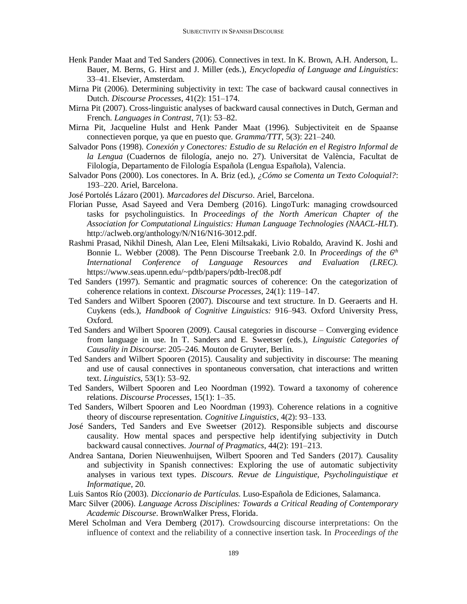- Henk Pander Maat and Ted Sanders (2006). Connectives in text. In K. Brown, A.H. Anderson, L. Bauer, M. Berns, G. Hirst and J. Miller (eds.), *Encyclopedia of Language and Linguistics*: 33–41. Elsevier, Amsterdam.
- Mirna Pit (2006). Determining subjectivity in text: The case of backward causal connectives in Dutch. *Discourse Processes*, 41(2): 151–174.
- Mirna Pit (2007). Cross-linguistic analyses of backward causal connectives in Dutch, German and French. *Languages in Contrast*, 7(1): 53–82.
- Mirna Pit, Jacqueline Hulst and Henk Pander Maat (1996). Subjectiviteit en de Spaanse connectieven porque, ya que en puesto que. *Gramma/TTT*, 5(3): 221–240.
- Salvador Pons (1998). *Conexión y Conectores: Estudio de su Relación en el Registro Informal de la Lengua* (Cuadernos de filología, anejo no. 27). Universitat de València, Facultat de Filología, Departamento de Filología Española (Lengua Española), Valencia.
- Salvador Pons (2000). Los conectores. In A. Briz (ed.), *¿Cómo se Comenta un Texto Coloquial?*: 193–220. Ariel, Barcelona.
- José Portolés Lázaro (2001). *Marcadores del Discurso*. Ariel, Barcelona.
- Florian Pusse, Asad Sayeed and Vera Demberg (2016). LingoTurk: managing crowdsourced tasks for psycholinguistics. In *Proceedings of the North American Chapter of the Association for Computational Linguistics: Human Language Technologies (NAACL-HLT*). http://aclweb.org/anthology/N/N16/N16-3012.pdf.
- Rashmi Prasad, Nikhil Dinesh, Alan Lee, Eleni Miltsakaki, Livio Robaldo, Aravind K. Joshi and Bonnie L. Webber (2008). The Penn Discourse Treebank 2.0. In *Proceedings of the 6th International Conference of Language Resources and Evaluation (LREC).*  https://www.seas.upenn.edu/~pdtb/papers/pdtb-lrec08.pdf
- Ted Sanders (1997). Semantic and pragmatic sources of coherence: On the categorization of coherence relations in context. *Discourse Processes*, 24(1): 119–147.
- Ted Sanders and Wilbert Spooren (2007). Discourse and text structure. In D. Geeraerts and H. Cuykens (eds.), *Handbook of Cognitive Linguistics:* 916–943. Oxford University Press, Oxford.
- Ted Sanders and Wilbert Spooren (2009). Causal categories in discourse Converging evidence from language in use. In T. Sanders and E. Sweetser (eds.), *Linguistic Categories of Causality in Discourse*: 205–246. Mouton de Gruyter, Berlin.
- Ted Sanders and Wilbert Spooren (2015). Causality and subjectivity in discourse: The meaning and use of causal connectives in spontaneous conversation, chat interactions and written text. *Linguistics*, 53(1): 53–92.
- Ted Sanders, Wilbert Spooren and Leo Noordman (1992). Toward a taxonomy of coherence relations. *Discourse Processes*, 15(1): 1–35.
- Ted Sanders, Wilbert Spooren and Leo Noordman (1993). Coherence relations in a cognitive theory of discourse representation. *Cognitive Linguistics*, 4(2): 93–133.
- José Sanders, Ted Sanders and Eve Sweetser (2012). Responsible subjects and discourse causality. How mental spaces and perspective help identifying subjectivity in Dutch backward causal connectives. *Journal of Pragmatics*, 44(2): 191–213.
- Andrea Santana, Dorien Nieuwenhuijsen, Wilbert Spooren and Ted Sanders (2017). Causality and subjectivity in Spanish connectives: Exploring the use of automatic subjectivity analyses in various text types. *Discours. Revue de Linguistique, Psycholinguistique et Informatique*, 20.
- Luis Santos Río (2003). *Diccionario de Partículas*. Luso-Española de Ediciones, Salamanca.
- Marc Silver (2006). *Language Across Disciplines: Towards a Critical Reading of Contemporary Academic Discourse*. BrownWalker Press, Florida.
- Merel Scholman and Vera Demberg (2017). Crowdsourcing discourse interpretations: On the influence of context and the reliability of a connective insertion task. In *Proceedings of the*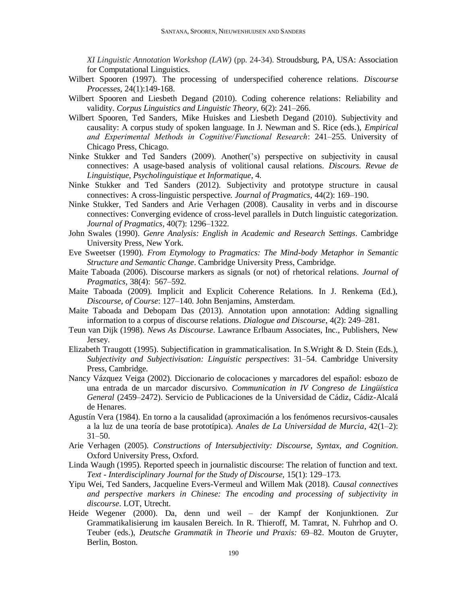*XI Linguistic Annotation Workshop (LAW)* (pp. 24-34). Stroudsburg, PA, USA: Association for Computational Linguistics.

- Wilbert Spooren (1997). The processing of underspecified coherence relations. *Discourse Processes*, 24(1):149-168.
- Wilbert Spooren and Liesbeth Degand (2010). Coding coherence relations: Reliability and validity. *Corpus Linguistics and Linguistic Theory,* 6(2): 241–266.
- Wilbert Spooren, Ted Sanders, Mike Huiskes and Liesbeth Degand (2010). Subjectivity and causality: A corpus study of spoken language. In J. Newman and S. Rice (eds.), *Empirical and Experimental Methods in Cognitive/ Functional Research*: 241–255. University of Chicago Press, Chicago.
- Ninke Stukker and Ted Sanders (2009). Another('s) perspective on subjectivity in causal connectives: A usage-based analysis of volitional causal relations. *Discours. Revue de Linguistique, Psycholinguistique et Informatique*, 4.
- Ninke Stukker and Ted Sanders (2012). Subjectivity and prototype structure in causal connectives: A cross-linguistic perspective. *Journal of Pragmatics*, 44(2): 169–190.
- Ninke Stukker, Ted Sanders and Arie Verhagen (2008). Causality in verbs and in discourse connectives: Converging evidence of cross-level parallels in Dutch linguistic categorization. *Journal of Pragmatics*, 40(7): 1296–1322.
- John Swales (1990). *Genre Analysis: English in Academic and Research Settings*. Cambridge University Press, New York.
- Eve Sweetser (1990). *From Etymology to Pragmatics: The Mind-body Metaphor in Semantic Structure and Semantic Change*. Cambridge University Press, Cambridge.
- Maite Taboada (2006). Discourse markers as signals (or not) of rhetorical relations. *Journal of Pragmatics,* 38(4): 567–592.
- Maite Taboada (2009). Implicit and Explicit Coherence Relations. In J. Renkema (Ed.), *Discourse, of Course*: 127–140. John Benjamins, Amsterdam.
- Maite Taboada and Debopam Das (2013). Annotation upon annotation: Adding signalling information to a corpus of discourse relations. *Dialogue and Discourse*, 4(2): 249–281.
- Teun van Dijk (1998). *News As Discourse*. Lawrance Erlbaum Associates, Inc., Publishers, New Jersey.
- Elizabeth Traugott (1995). Subjectification in grammaticalisation. In S.Wright & D. Stein (Eds.), *Subjectivity and Subjectivisation: Linguistic perspectives*: 31–54. Cambridge University Press, Cambridge.
- Nancy Vázquez Veiga (2002). Diccionario de colocaciones y marcadores del español: esbozo de una entrada de un marcador discursivo. *Communication in IV Congreso de Lingüística General* (2459–2472). Servicio de Publicaciones de la Universidad de Cádiz, Cádiz-Alcalá de Henares.
- Agustín Vera (1984). En torno a la causalidad (aproximación a los fenómenos recursivos-causales a la luz de una teoría de base prototípica). *Anales de La Universidad de Murcia*, 42(1–2):  $31 - 50$ .
- Arie Verhagen (2005). *Constructions of Intersubjectivity: Discourse, Syntax, and Cognition*. Oxford University Press, Oxford.
- Linda Waugh (1995). Reported speech in journalistic discourse: The relation of function and text. *Text - Interdisciplinary Journal for the Study of Discourse,* 15(1): 129–173.
- Yipu Wei, Ted Sanders, Jacqueline Evers-Vermeul and Willem Mak (2018). *Causal connectives and perspective markers in Chinese: The encoding and processing of subjectivity in discourse*. LOT, Utrecht.
- Heide Wegener (2000). Da, denn und weil der Kampf der Konjunktionen. Zur Grammatikalisierung im kausalen Bereich. In R. Thieroff, M. Tamrat, N. Fuhrhop and O. Teuber (eds.), *Deutsche Grammatik in Theorie und Praxis:* 69–82. Mouton de Gruyter, Berlin, Boston.